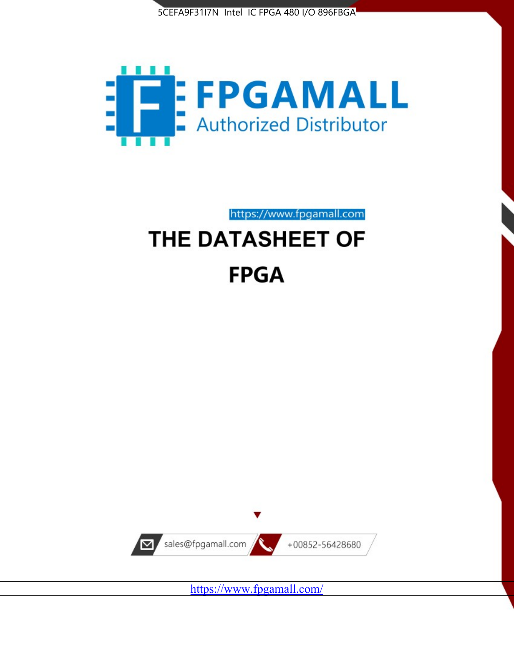



https://www.fpgamall.com

# THE DATASHEET OF **FPGA**



<https://www.fpgamall.com/>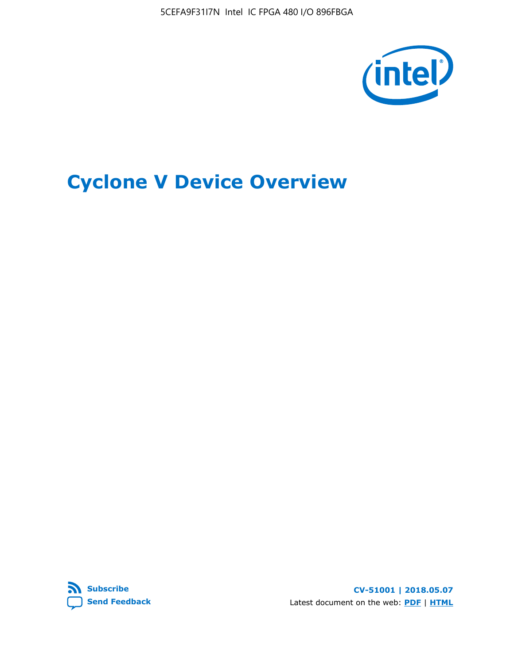5CEFA9F31I7N Intel IC FPGA 480 I/O 896FBGA



## **Cyclone V Device Overview**



**CV-51001 | 2018.05.07** Latest document on the web: **[PDF](https://www.altera.com/en_US/pdfs/literature/hb/cyclone-v/cv_51001.pdf)** | **[HTML](https://www.altera.com/documentation/sam1403480548153.html)**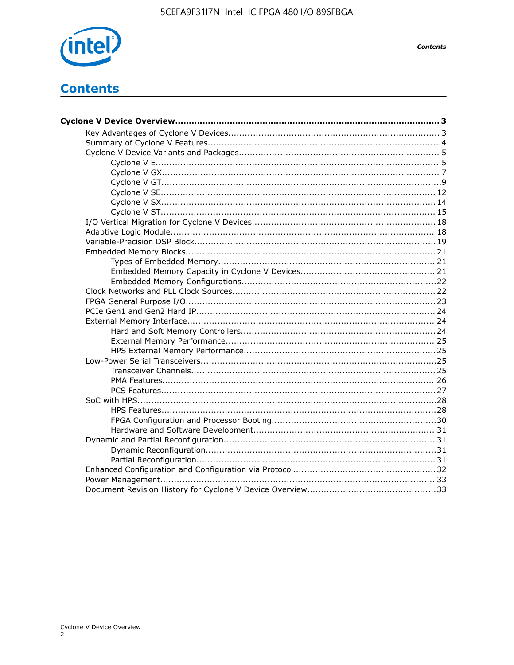

**Contents** 

## **Contents**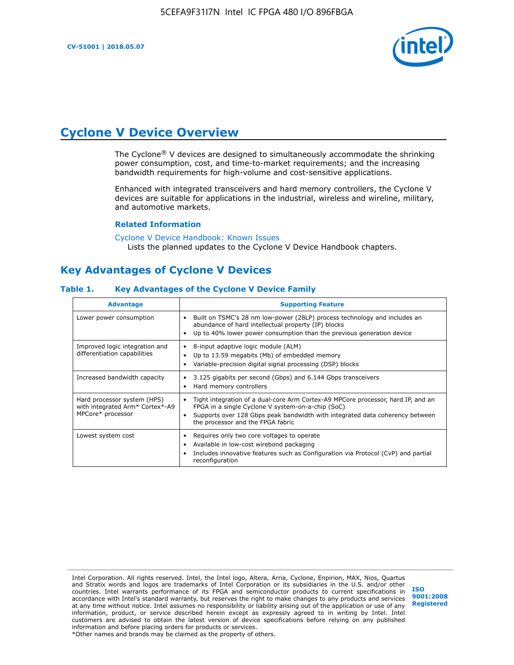

## **Cyclone V Device Overview**

The Cyclone® V devices are designed to simultaneously accommodate the shrinking power consumption, cost, and time-to-market requirements; and the increasing bandwidth requirements for high-volume and cost-sensitive applications.

Enhanced with integrated transceivers and hard memory controllers, the Cyclone V devices are suitable for applications in the industrial, wireless and wireline, military, and automotive markets.

#### **Related Information**

[Cyclone V Device Handbook: Known Issues](https://www.altera.com/support/support-resources/knowledge-base/solutions/rd12152011_347.html) Lists the planned updates to the Cyclone V Device Handbook chapters.

## **Key Advantages of Cyclone V Devices**

#### **Table 1. Key Advantages of the Cyclone V Device Family**

| <b>Advantage</b>                                                                    | <b>Supporting Feature</b>                                                                                                                                                                                                                                                    |
|-------------------------------------------------------------------------------------|------------------------------------------------------------------------------------------------------------------------------------------------------------------------------------------------------------------------------------------------------------------------------|
| Lower power consumption                                                             | Built on TSMC's 28 nm low-power (28LP) process technology and includes an<br>$\bullet$<br>abundance of hard intellectual property (IP) blocks<br>Up to 40% lower power consumption than the previous generation device                                                       |
| Improved logic integration and<br>differentiation capabilities                      | 8-input adaptive logic module (ALM)<br>٠<br>Up to 13.59 megabits (Mb) of embedded memory<br>٠<br>Variable-precision digital signal processing (DSP) blocks                                                                                                                   |
| Increased bandwidth capacity                                                        | 3.125 gigabits per second (Gbps) and 6.144 Gbps transceivers<br>٠<br>Hard memory controllers<br>٠                                                                                                                                                                            |
| Hard processor system (HPS)<br>with integrated Arm* Cortex*-A9<br>MPCore* processor | Tight integration of a dual-core Arm Cortex-A9 MPCore processor, hard IP, and an<br>$\bullet$<br>FPGA in a single Cyclone V system-on-a-chip (SoC)<br>Supports over 128 Gbps peak bandwidth with integrated data coherency between<br>٠<br>the processor and the FPGA fabric |
| Lowest system cost                                                                  | Requires only two core voltages to operate<br>٠<br>Available in low-cost wirebond packaging<br>٠<br>Includes innovative features such as Configuration via Protocol (CvP) and partial<br>٠<br>reconfiguration                                                                |

Intel Corporation. All rights reserved. Intel, the Intel logo, Altera, Arria, Cyclone, Enpirion, MAX, Nios, Quartus and Stratix words and logos are trademarks of Intel Corporation or its subsidiaries in the U.S. and/or other countries. Intel warrants performance of its FPGA and semiconductor products to current specifications in accordance with Intel's standard warranty, but reserves the right to make changes to any products and services at any time without notice. Intel assumes no responsibility or liability arising out of the application or use of any information, product, or service described herein except as expressly agreed to in writing by Intel. Intel customers are advised to obtain the latest version of device specifications before relying on any published information and before placing orders for products or services. \*Other names and brands may be claimed as the property of others.

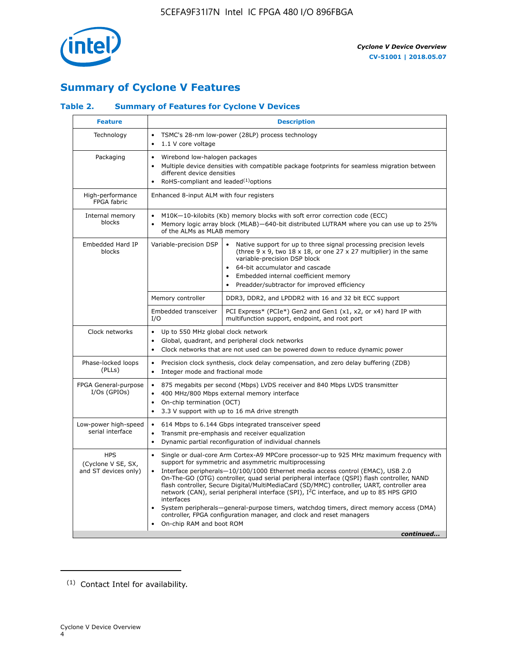

## **Summary of Cyclone V Features**

#### **Table 2. Summary of Features for Cyclone V Devices**

| <b>Feature</b>                                           | <b>Description</b>                                                                                                                                                                                                                                                                                                                               |                                                                                                                                                                                                                                                                                                                                                                                                                                                                                                                                                                                                                                                                                                         |  |  |  |  |  |  |  |
|----------------------------------------------------------|--------------------------------------------------------------------------------------------------------------------------------------------------------------------------------------------------------------------------------------------------------------------------------------------------------------------------------------------------|---------------------------------------------------------------------------------------------------------------------------------------------------------------------------------------------------------------------------------------------------------------------------------------------------------------------------------------------------------------------------------------------------------------------------------------------------------------------------------------------------------------------------------------------------------------------------------------------------------------------------------------------------------------------------------------------------------|--|--|--|--|--|--|--|
| Technology                                               | TSMC's 28-nm low-power (28LP) process technology<br>$\bullet$<br>1.1 V core voltage                                                                                                                                                                                                                                                              |                                                                                                                                                                                                                                                                                                                                                                                                                                                                                                                                                                                                                                                                                                         |  |  |  |  |  |  |  |
| Packaging                                                | $\bullet$                                                                                                                                                                                                                                                                                                                                        | Wirebond low-halogen packages<br>Multiple device densities with compatible package footprints for seamless migration between<br>different device densities<br>RoHS-compliant and leaded $(1)$ options                                                                                                                                                                                                                                                                                                                                                                                                                                                                                                   |  |  |  |  |  |  |  |
| High-performance<br>FPGA fabric                          | Enhanced 8-input ALM with four registers                                                                                                                                                                                                                                                                                                         |                                                                                                                                                                                                                                                                                                                                                                                                                                                                                                                                                                                                                                                                                                         |  |  |  |  |  |  |  |
| Internal memory<br>blocks                                | of the ALMs as MLAB memory                                                                                                                                                                                                                                                                                                                       | M10K-10-kilobits (Kb) memory blocks with soft error correction code (ECC)<br>Memory logic array block (MLAB)-640-bit distributed LUTRAM where you can use up to 25%                                                                                                                                                                                                                                                                                                                                                                                                                                                                                                                                     |  |  |  |  |  |  |  |
| Embedded Hard IP<br>blocks                               | Variable-precision DSP<br>Native support for up to three signal processing precision levels<br>(three $9 \times 9$ , two $18 \times 18$ , or one $27 \times 27$ multiplier) in the same<br>variable-precision DSP block<br>64-bit accumulator and cascade<br>Embedded internal coefficient memory<br>Preadder/subtractor for improved efficiency |                                                                                                                                                                                                                                                                                                                                                                                                                                                                                                                                                                                                                                                                                                         |  |  |  |  |  |  |  |
|                                                          | Memory controller                                                                                                                                                                                                                                                                                                                                | DDR3, DDR2, and LPDDR2 with 16 and 32 bit ECC support                                                                                                                                                                                                                                                                                                                                                                                                                                                                                                                                                                                                                                                   |  |  |  |  |  |  |  |
|                                                          | Embedded transceiver<br>I/O                                                                                                                                                                                                                                                                                                                      | PCI Express* (PCIe*) Gen2 and Gen1 (x1, x2, or x4) hard IP with<br>multifunction support, endpoint, and root port                                                                                                                                                                                                                                                                                                                                                                                                                                                                                                                                                                                       |  |  |  |  |  |  |  |
| Clock networks                                           | Up to 550 MHz global clock network<br>$\bullet$<br>$\bullet$<br>$\bullet$                                                                                                                                                                                                                                                                        | Global, quadrant, and peripheral clock networks<br>Clock networks that are not used can be powered down to reduce dynamic power                                                                                                                                                                                                                                                                                                                                                                                                                                                                                                                                                                         |  |  |  |  |  |  |  |
| Phase-locked loops<br>(PLLs)                             | $\bullet$<br>Integer mode and fractional mode<br>$\bullet$                                                                                                                                                                                                                                                                                       | Precision clock synthesis, clock delay compensation, and zero delay buffering (ZDB)                                                                                                                                                                                                                                                                                                                                                                                                                                                                                                                                                                                                                     |  |  |  |  |  |  |  |
| FPGA General-purpose<br>$I/Os$ (GPIOs)                   | $\bullet$<br>$\bullet$<br>On-chip termination (OCT)<br>$\bullet$                                                                                                                                                                                                                                                                                 | 875 megabits per second (Mbps) LVDS receiver and 840 Mbps LVDS transmitter<br>400 MHz/800 Mbps external memory interface<br>3.3 V support with up to 16 mA drive strength                                                                                                                                                                                                                                                                                                                                                                                                                                                                                                                               |  |  |  |  |  |  |  |
| Low-power high-speed<br>serial interface                 | 614 Mbps to 6.144 Gbps integrated transceiver speed<br>$\bullet$<br>Transmit pre-emphasis and receiver equalization<br>$\bullet$<br>Dynamic partial reconfiguration of individual channels<br>$\bullet$                                                                                                                                          |                                                                                                                                                                                                                                                                                                                                                                                                                                                                                                                                                                                                                                                                                                         |  |  |  |  |  |  |  |
| <b>HPS</b><br>(Cyclone V SE, SX,<br>and ST devices only) | $\bullet$<br>$\bullet$<br>interfaces<br>On-chip RAM and boot ROM                                                                                                                                                                                                                                                                                 | Single or dual-core Arm Cortex-A9 MPCore processor-up to 925 MHz maximum frequency with<br>support for symmetric and asymmetric multiprocessing<br>Interface peripherals-10/100/1000 Ethernet media access control (EMAC), USB 2.0<br>On-The-GO (OTG) controller, quad serial peripheral interface (QSPI) flash controller, NAND<br>flash controller, Secure Digital/MultiMediaCard (SD/MMC) controller, UART, controller area<br>network (CAN), serial peripheral interface (SPI), I <sup>2</sup> C interface, and up to 85 HPS GPIO<br>System peripherals—general-purpose timers, watchdog timers, direct memory access (DMA)<br>controller, FPGA configuration manager, and clock and reset managers |  |  |  |  |  |  |  |
|                                                          |                                                                                                                                                                                                                                                                                                                                                  | continued                                                                                                                                                                                                                                                                                                                                                                                                                                                                                                                                                                                                                                                                                               |  |  |  |  |  |  |  |

<sup>(1)</sup> Contact Intel for availability.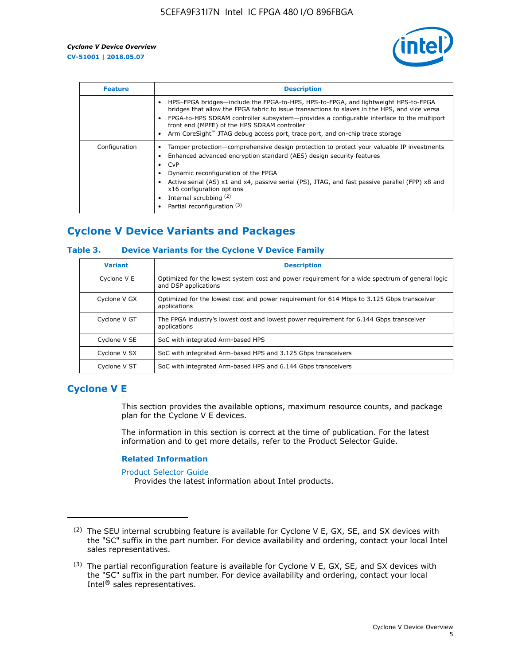

| <b>Feature</b> | <b>Description</b>                                                                                                                                                                                                                                                                                                                                                                                                    |
|----------------|-----------------------------------------------------------------------------------------------------------------------------------------------------------------------------------------------------------------------------------------------------------------------------------------------------------------------------------------------------------------------------------------------------------------------|
|                | HPS-FPGA bridges—include the FPGA-to-HPS, HPS-to-FPGA, and lightweight HPS-to-FPGA<br>bridges that allow the FPGA fabric to issue transactions to slaves in the HPS, and vice versa<br>FPGA-to-HPS SDRAM controller subsystem-provides a configurable interface to the multiport<br>front end (MPFE) of the HPS SDRAM controller<br>Arm CoreSight™ JTAG debug access port, trace port, and on-chip trace storage      |
| Configuration  | Tamper protection—comprehensive design protection to protect your valuable IP investments<br>Enhanced advanced encryption standard (AES) design security features<br>CvP<br>$\bullet$<br>Dynamic reconfiguration of the FPGA<br>Active serial (AS) x1 and x4, passive serial (PS), JTAG, and fast passive parallel (FPP) x8 and<br>x16 configuration options<br>Internal scrubbing (2)<br>Partial reconfiguration (3) |

## **Cyclone V Device Variants and Packages**

#### **Table 3. Device Variants for the Cyclone V Device Family**

| <b>Variant</b> | <b>Description</b>                                                                                                      |
|----------------|-------------------------------------------------------------------------------------------------------------------------|
| Cyclone V E    | Optimized for the lowest system cost and power requirement for a wide spectrum of general logic<br>and DSP applications |
| Cyclone V GX   | Optimized for the lowest cost and power requirement for 614 Mbps to 3.125 Gbps transceiver<br>applications              |
| Cyclone V GT   | The FPGA industry's lowest cost and lowest power requirement for 6.144 Gbps transceiver<br>applications                 |
| Cyclone V SE   | SoC with integrated Arm-based HPS                                                                                       |
| Cyclone V SX   | SoC with integrated Arm-based HPS and 3.125 Gbps transceivers                                                           |
| Cyclone V ST   | SoC with integrated Arm-based HPS and 6.144 Gbps transceivers                                                           |

## **Cyclone V E**

This section provides the available options, maximum resource counts, and package plan for the Cyclone V E devices.

The information in this section is correct at the time of publication. For the latest information and to get more details, refer to the Product Selector Guide.

#### **Related Information**

[Product Selector Guide](https://www.altera.com/products/product-selector-guide.html)

Provides the latest information about Intel products.

<sup>(2)</sup> The SEU internal scrubbing feature is available for Cyclone V E, GX, SE, and SX devices with the "SC" suffix in the part number. For device availability and ordering, contact your local Intel sales representatives.

 $(3)$  The partial reconfiguration feature is available for Cyclone V E, GX, SE, and SX devices with the "SC" suffix in the part number. For device availability and ordering, contact your local Intel® sales representatives.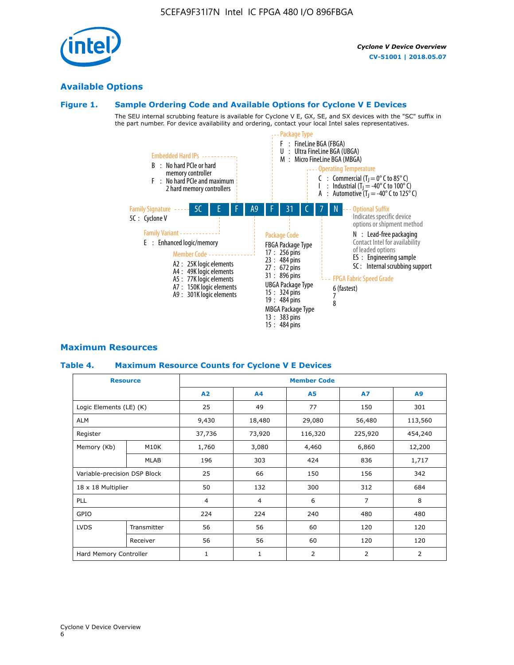## **Available Options**

#### **Figure 1. Sample Ordering Code and Available Options for Cyclone V E Devices**

The SEU internal scrubbing feature is available for Cyclone V E, GX, SE, and SX devices with the "SC" suffix in the part number. For device availability and ordering, contact your local Intel sales representatives.



#### **Maximum Resources**

#### **Table 4. Maximum Resource Counts for Cyclone V E Devices**

| <b>Resource</b>              |                        | <b>Member Code</b> |                |                |                |         |  |  |  |
|------------------------------|------------------------|--------------------|----------------|----------------|----------------|---------|--|--|--|
|                              |                        | A2                 | A <sub>4</sub> | <b>A5</b>      | <b>A7</b>      | A9      |  |  |  |
| Logic Elements (LE) (K)      |                        | 25                 | 49             | 77             | 150            | 301     |  |  |  |
| <b>ALM</b>                   |                        | 9,430              | 18,480         | 29,080         | 56,480         | 113,560 |  |  |  |
| Register                     |                        | 37,736             | 73,920         | 116,320        | 225,920        | 454,240 |  |  |  |
| Memory (Kb)                  | M10K                   | 1,760              | 3,080          | 4,460          | 6,860          | 12,200  |  |  |  |
|                              | MLAB                   | 196                | 303            | 424            | 836            | 1,717   |  |  |  |
| Variable-precision DSP Block |                        | 25                 | 66             | 150            | 156            | 342     |  |  |  |
| 18 x 18 Multiplier           |                        | 50                 | 132            | 300            | 312            | 684     |  |  |  |
| PLL                          |                        | $\overline{4}$     | $\overline{4}$ | 6              | $\overline{7}$ | 8       |  |  |  |
| GPIO                         |                        | 224                | 224            | 240            | 480            | 480     |  |  |  |
| <b>LVDS</b>                  | Transmitter            | 56                 | 56             | 60             | 120            | 120     |  |  |  |
|                              | Receiver               | 56                 | 56             | 60             | 120            | 120     |  |  |  |
|                              | Hard Memory Controller |                    | $\mathbf{1}$   | $\overline{2}$ | $\overline{2}$ | 2       |  |  |  |

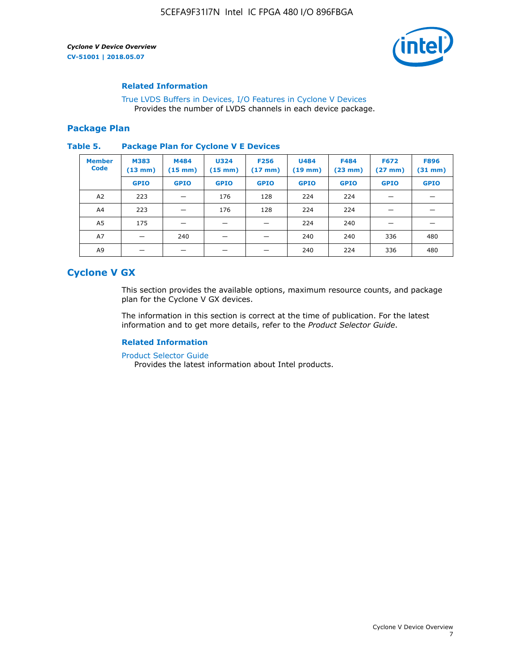

#### **Related Information**

[True LVDS Buffers in Devices, I/O Features in Cyclone V Devices](https://www.altera.com/documentation/sam1403481100977.html#sam1403480885395) Provides the number of LVDS channels in each device package.

#### **Package Plan**

#### **Table 5. Package Plan for Cyclone V E Devices**

| <b>Member</b><br><b>Code</b> | <b>M383</b><br>$(13 \text{ mm})$ | M484<br>$(15 \text{ mm})$ | <b>U324</b><br>$(15 \text{ mm})$ | <b>F256</b><br>$(17 \text{ mm})$ | <b>U484</b><br>$(19$ mm) | <b>F484</b><br>$(23$ mm $)$ | <b>F672</b><br>$(27 \text{ mm})$ | <b>F896</b><br>$(31 \text{ mm})$ |
|------------------------------|----------------------------------|---------------------------|----------------------------------|----------------------------------|--------------------------|-----------------------------|----------------------------------|----------------------------------|
|                              | <b>GPIO</b>                      | <b>GPIO</b>               | <b>GPIO</b>                      | <b>GPIO</b>                      | <b>GPIO</b>              | <b>GPIO</b>                 | <b>GPIO</b>                      | <b>GPIO</b>                      |
| A <sub>2</sub>               | 223                              |                           | 176                              | 128                              | 224                      | 224                         |                                  |                                  |
| A4                           | 223                              |                           | 176                              | 128                              | 224                      | 224                         | –                                |                                  |
| A <sub>5</sub>               | 175                              |                           |                                  |                                  | 224                      | 240                         |                                  |                                  |
| A7                           |                                  | 240                       |                                  |                                  | 240                      | 240                         | 336                              | 480                              |
| A9                           |                                  |                           |                                  |                                  | 240                      | 224                         | 336                              | 480                              |

## **Cyclone V GX**

This section provides the available options, maximum resource counts, and package plan for the Cyclone V GX devices.

The information in this section is correct at the time of publication. For the latest information and to get more details, refer to the *Product Selector Guide*.

#### **Related Information**

[Product Selector Guide](https://www.altera.com/products/product-selector-guide.html)

Provides the latest information about Intel products.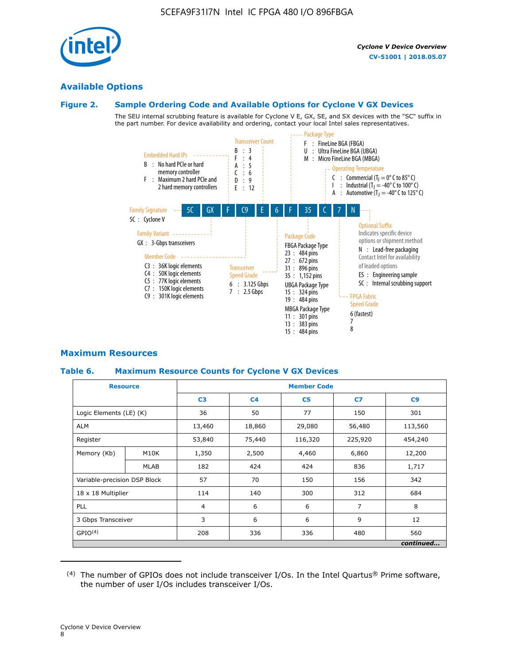

#### **Available Options**

#### **Figure 2. Sample Ordering Code and Available Options for Cyclone V GX Devices**

The SEU internal scrubbing feature is available for Cyclone V E, GX, SE, and SX devices with the "SC" suffix in the part number. For device availability and ordering, contact your local Intel sales representatives.



#### **Maximum Resources**

#### **Table 6. Maximum Resource Counts for Cyclone V GX Devices**

| <b>Resource</b>              |                   | <b>Member Code</b> |                |                |                |           |  |  |
|------------------------------|-------------------|--------------------|----------------|----------------|----------------|-----------|--|--|
|                              |                   | C <sub>3</sub>     | C <sub>4</sub> | C <sub>5</sub> | C7             | C9        |  |  |
| Logic Elements (LE) (K)      |                   | 36                 | 50             | 77             | 150            | 301       |  |  |
| <b>ALM</b>                   |                   | 13,460             | 18,860         | 29,080         | 56,480         | 113,560   |  |  |
| Register                     |                   |                    | 75,440         | 116,320        | 225,920        | 454,240   |  |  |
| Memory (Kb)                  | M <sub>10</sub> K | 1,350              | 2,500          | 4,460          | 6,860          | 12,200    |  |  |
|                              | <b>MLAB</b>       | 182                | 424            | 424            | 836            | 1,717     |  |  |
| Variable-precision DSP Block |                   | 57                 | 70             | 150            | 156            | 342       |  |  |
| 18 x 18 Multiplier           |                   | 114                | 140            | 300            | 312            | 684       |  |  |
| PLL                          |                   | $\overline{4}$     | 6              | 6              | $\overline{7}$ | 8         |  |  |
| 3 Gbps Transceiver           |                   | 3                  | 6              | 6              | 9              | 12        |  |  |
| GPIO <sup>(4)</sup>          |                   | 208                | 336            | 336            | 480            | 560       |  |  |
|                              |                   |                    |                |                |                | continued |  |  |

 $(4)$  The number of GPIOs does not include transceiver I/Os. In the Intel Quartus® Prime software, the number of user I/Os includes transceiver I/Os.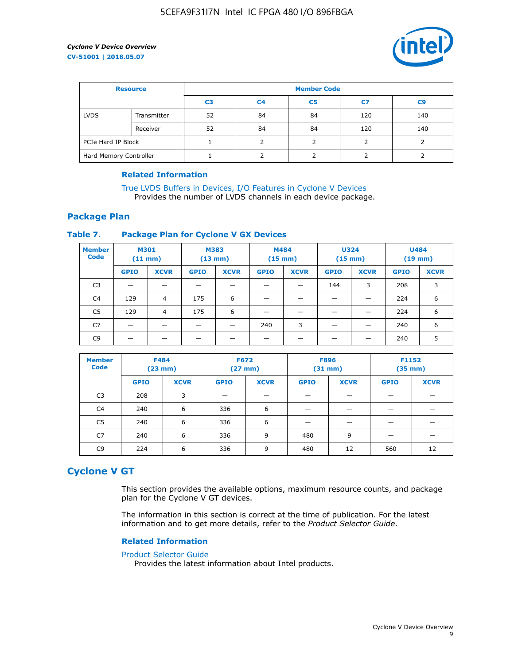

| <b>Resource</b>        |             | <b>Member Code</b> |                |    |     |                |  |  |  |
|------------------------|-------------|--------------------|----------------|----|-----|----------------|--|--|--|
|                        |             | C <sub>3</sub>     | C <sub>4</sub> | C5 | C7  | C <sub>9</sub> |  |  |  |
| <b>LVDS</b>            | Transmitter | 52                 | 84             | 84 | 120 | 140            |  |  |  |
|                        | Receiver    | 52                 | 84             | 84 | 120 | 140            |  |  |  |
| PCIe Hard IP Block     |             |                    |                |    |     |                |  |  |  |
| Hard Memory Controller |             |                    |                |    |     |                |  |  |  |

#### **Related Information**

[True LVDS Buffers in Devices, I/O Features in Cyclone V Devices](https://www.altera.com/documentation/sam1403481100977.html#sam1403480885395) Provides the number of LVDS channels in each device package.

#### **Package Plan**

#### **Table 7. Package Plan for Cyclone V GX Devices**

| <b>Member</b><br><b>Code</b> | <b>M301</b><br>$(11 \text{ mm})$ |             | M383<br>$(13 \text{ mm})$ |             | M484<br>$(15 \text{ mm})$ |             | <b>U324</b><br>$(15 \text{ mm})$ |             | <b>U484</b><br>$(19$ mm) |             |
|------------------------------|----------------------------------|-------------|---------------------------|-------------|---------------------------|-------------|----------------------------------|-------------|--------------------------|-------------|
|                              | <b>GPIO</b>                      | <b>XCVR</b> | <b>GPIO</b>               | <b>XCVR</b> | <b>GPIO</b>               | <b>XCVR</b> | <b>GPIO</b>                      | <b>XCVR</b> | <b>GPIO</b>              | <b>XCVR</b> |
| C <sub>3</sub>               | $\overline{\phantom{0}}$         |             |                           |             |                           |             | 144                              | 3           | 208                      | 3           |
| C <sub>4</sub>               | 129                              | 4           | 175                       | 6           | –                         |             | _                                |             | 224                      | 6           |
| C5                           | 129                              | 4           | 175                       | 6           |                           |             |                                  |             | 224                      | 6           |
| C7                           | _                                |             |                           |             | 240                       | 3           |                                  |             | 240                      | 6           |
| C <sub>9</sub>               |                                  |             |                           |             |                           |             |                                  |             | 240                      | 5           |

| <b>Member</b><br><b>Code</b> | <b>F484</b> | $(23$ mm)   | <b>F672</b> | $(27 \text{ mm})$ | <b>F896</b><br>$(31 \text{ mm})$ |             | F1152<br>$(35 \text{ mm})$ |             |
|------------------------------|-------------|-------------|-------------|-------------------|----------------------------------|-------------|----------------------------|-------------|
|                              | <b>GPIO</b> | <b>XCVR</b> | <b>GPIO</b> | <b>XCVR</b>       | <b>GPIO</b>                      | <b>XCVR</b> | <b>GPIO</b>                | <b>XCVR</b> |
| C <sub>3</sub>               | 208         | 3           |             |                   |                                  |             |                            |             |
| C4                           | 240         | 6           | 336         | 6                 |                                  |             |                            |             |
| C5                           | 240         | 6           | 336         | 6                 |                                  |             |                            |             |
| C <sub>7</sub>               | 240         | 6           | 336         | 9                 | 480                              | 9           |                            |             |
| C <sub>9</sub>               | 224         | 6           | 336         | 9                 | 480                              | 12          | 560                        | 12          |

#### **Cyclone V GT**

This section provides the available options, maximum resource counts, and package plan for the Cyclone V GT devices.

The information in this section is correct at the time of publication. For the latest information and to get more details, refer to the *Product Selector Guide*.

#### **Related Information**

#### [Product Selector Guide](https://www.altera.com/products/product-selector-guide.html)

Provides the latest information about Intel products.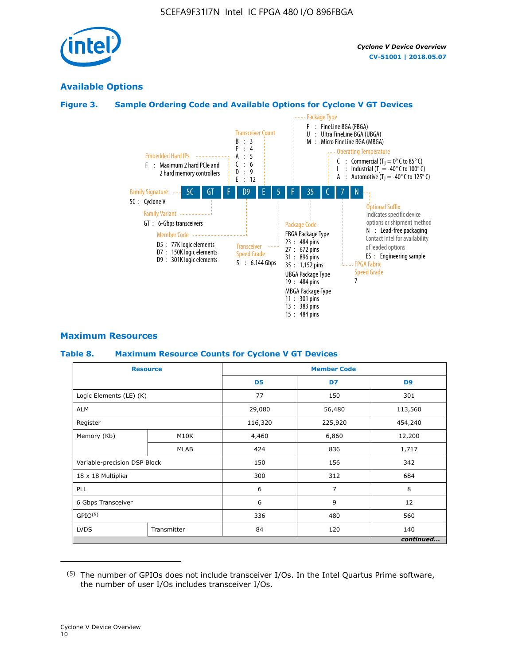

## **Available Options**

#### **Figure 3. Sample Ordering Code and Available Options for Cyclone V GT Devices**



#### **Maximum Resources**

#### **Table 8. Maximum Resource Counts for Cyclone V GT Devices**

|                              | <b>Resource</b> | <b>Member Code</b> |         |                |  |  |  |
|------------------------------|-----------------|--------------------|---------|----------------|--|--|--|
|                              |                 | D <sub>5</sub>     | D7      | D <sub>9</sub> |  |  |  |
| Logic Elements (LE) (K)      |                 | 77                 | 150     | 301            |  |  |  |
| <b>ALM</b>                   |                 | 29,080             | 56,480  | 113,560        |  |  |  |
| Register                     |                 | 116,320            | 225,920 | 454,240        |  |  |  |
| Memory (Kb)                  | M10K            | 4,460              | 6,860   | 12,200         |  |  |  |
|                              | <b>MLAB</b>     | 424                | 836     | 1,717          |  |  |  |
| Variable-precision DSP Block |                 | 150                | 156     | 342            |  |  |  |
| 18 x 18 Multiplier           |                 | 300                | 312     | 684            |  |  |  |
| PLL                          |                 | 6                  | 7       | 8              |  |  |  |
| 6 Gbps Transceiver           |                 | 6                  | 9       | 12             |  |  |  |
| GPIO <sup>(5)</sup>          |                 | 336<br>480         |         | 560            |  |  |  |
| <b>LVDS</b>                  | Transmitter     | 84                 | 120     | 140            |  |  |  |
|                              |                 |                    |         | continued      |  |  |  |

<sup>(5)</sup> The number of GPIOs does not include transceiver I/Os. In the Intel Quartus Prime software, the number of user I/Os includes transceiver I/Os.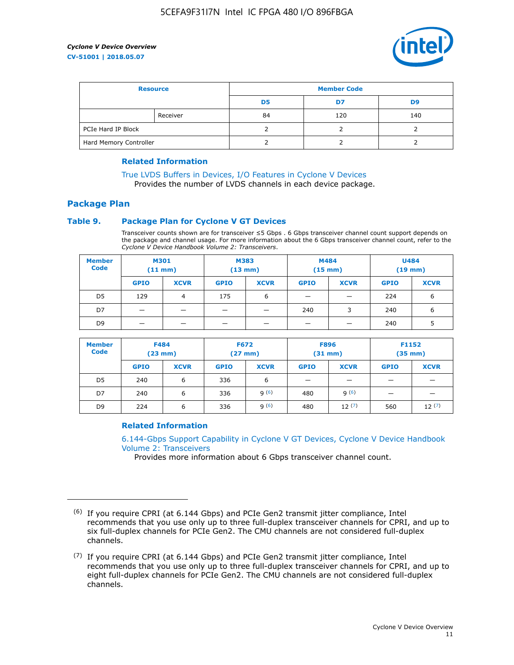

| <b>Resource</b>        |          | <b>Member Code</b> |     |     |  |  |
|------------------------|----------|--------------------|-----|-----|--|--|
|                        |          | D <sub>5</sub>     | D7  | D9  |  |  |
|                        | Receiver | 84                 | 120 | 140 |  |  |
| PCIe Hard IP Block     |          |                    |     |     |  |  |
| Hard Memory Controller |          |                    |     |     |  |  |

#### **Related Information**

[True LVDS Buffers in Devices, I/O Features in Cyclone V Devices](https://www.altera.com/documentation/sam1403481100977.html#sam1403480885395) Provides the number of LVDS channels in each device package.

#### **Package Plan**

#### **Table 9. Package Plan for Cyclone V GT Devices**

Transceiver counts shown are for transceiver ≤5 Gbps . 6 Gbps transceiver channel count support depends on the package and channel usage. For more information about the 6 Gbps transceiver channel count, refer to the *Cyclone V Device Handbook Volume 2: Transceivers*.

| <b>Member</b><br><b>Code</b> | <b>M301</b><br>$(11$ mm) |             | M383<br>$(13 \text{ mm})$ |             | M484<br>(15 mm)          |                          | <b>U484</b><br>$(19$ mm) |             |
|------------------------------|--------------------------|-------------|---------------------------|-------------|--------------------------|--------------------------|--------------------------|-------------|
|                              | <b>GPIO</b>              | <b>XCVR</b> | <b>GPIO</b>               | <b>XCVR</b> | <b>GPIO</b>              | <b>XCVR</b>              | <b>GPIO</b>              | <b>XCVR</b> |
| D <sub>5</sub>               | 129                      | 4           | 175                       | 6           | $\overline{\phantom{0}}$ | $\overline{\phantom{0}}$ | 224                      | 6           |
| D7                           | -                        |             |                           | _           | 240                      | 3                        | 240                      | 6           |
| D <sub>9</sub>               | -                        |             |                           | _           | _                        | –                        | 240                      | 5           |

| <b>Member</b><br><b>Code</b> | <b>F484</b><br>$(23 \text{ mm})$ |             | <b>F672</b><br>$(27 \text{ mm})$ |             | <b>F896</b><br>$(31$ mm $)$ |             | F1152<br>$(35$ mm $)$ |             |
|------------------------------|----------------------------------|-------------|----------------------------------|-------------|-----------------------------|-------------|-----------------------|-------------|
|                              | <b>GPIO</b>                      | <b>XCVR</b> | <b>GPIO</b>                      | <b>XCVR</b> | <b>GPIO</b>                 | <b>XCVR</b> | <b>GPIO</b>           | <b>XCVR</b> |
| D <sub>5</sub>               | 240                              | 6           | 336                              | 6           | -                           |             |                       |             |
| D7                           | 240                              | 6           | 336                              | q(6)        | 480                         | q(6)        | -                     | _           |
| D <sub>9</sub>               | 224                              | 6           | 336                              | q(6)        | 480                         | 12(7)       | 560                   | 12(7)       |

#### **Related Information**

[6.144-Gbps Support Capability in Cyclone V GT Devices, Cyclone V Device Handbook](https://www.altera.com/documentation/nik1409855456781.html#nik1409855410757) [Volume 2: Transceivers](https://www.altera.com/documentation/nik1409855456781.html#nik1409855410757)

Provides more information about 6 Gbps transceiver channel count.

<sup>(6)</sup> If you require CPRI (at 6.144 Gbps) and PCIe Gen2 transmit jitter compliance, Intel recommends that you use only up to three full-duplex transceiver channels for CPRI, and up to six full-duplex channels for PCIe Gen2. The CMU channels are not considered full-duplex channels.

 $(7)$  If you require CPRI (at 6.144 Gbps) and PCIe Gen2 transmit jitter compliance, Intel recommends that you use only up to three full-duplex transceiver channels for CPRI, and up to eight full-duplex channels for PCIe Gen2. The CMU channels are not considered full-duplex channels.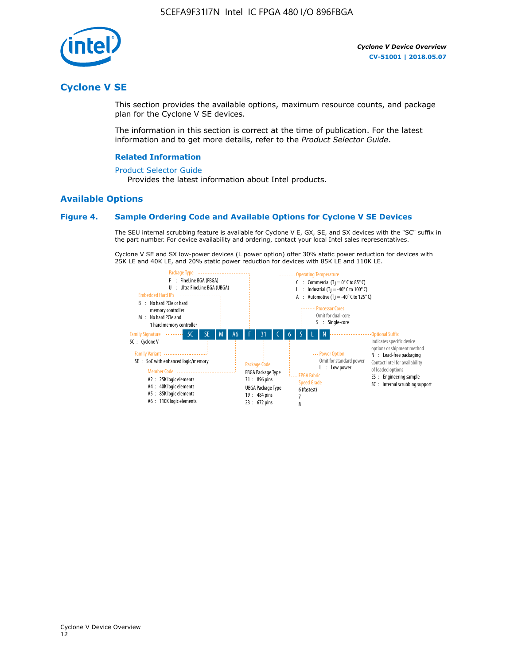

## **Cyclone V SE**

This section provides the available options, maximum resource counts, and package plan for the Cyclone V SE devices.

The information in this section is correct at the time of publication. For the latest information and to get more details, refer to the *Product Selector Guide*.

#### **Related Information**

#### [Product Selector Guide](https://www.altera.com/products/product-selector-guide.html)

Provides the latest information about Intel products.

#### **Available Options**

#### **Figure 4. Sample Ordering Code and Available Options for Cyclone V SE Devices**

The SEU internal scrubbing feature is available for Cyclone V E, GX, SE, and SX devices with the "SC" suffix in the part number. For device availability and ordering, contact your local Intel sales representatives.

Cyclone V SE and SX low-power devices (L power option) offer 30% static power reduction for devices with 25K LE and 40K LE, and 20% static power reduction for devices with 85K LE and 110K LE.

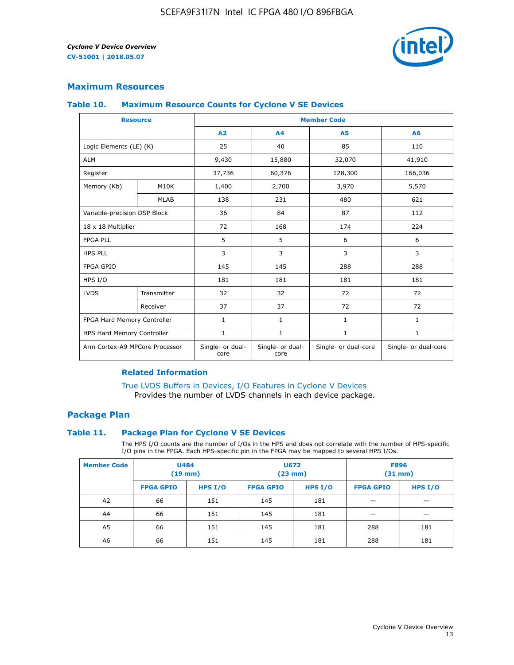

#### **Maximum Resources**

#### **Table 10. Maximum Resource Counts for Cyclone V SE Devices**

|                                | <b>Resource</b> | <b>Member Code</b>       |                          |                      |                      |  |
|--------------------------------|-----------------|--------------------------|--------------------------|----------------------|----------------------|--|
|                                |                 | A <sub>2</sub>           | A <sub>4</sub>           | <b>A5</b>            | A6                   |  |
| Logic Elements (LE) (K)        |                 | 25                       | 40                       | 85                   | 110                  |  |
| <b>ALM</b>                     |                 | 9,430                    | 15,880                   | 32,070               | 41,910               |  |
| Register                       |                 | 37,736                   | 60,376                   | 128,300              | 166,036              |  |
| Memory (Kb)                    | M10K            | 1,400                    | 2,700                    | 3,970                | 5,570                |  |
|                                | <b>MLAB</b>     | 138                      | 231                      | 480                  | 621                  |  |
| Variable-precision DSP Block   |                 | 36                       | 84                       | 87                   | 112                  |  |
| 18 x 18 Multiplier             |                 | 72                       | 168                      | 174                  | 224                  |  |
| <b>FPGA PLL</b>                |                 | 5                        | 5                        | 6                    | 6                    |  |
| <b>HPS PLL</b>                 |                 | 3                        | 3                        | 3                    | 3                    |  |
| <b>FPGA GPIO</b>               |                 | 145                      | 145                      | 288                  | 288                  |  |
| HPS I/O                        |                 | 181                      | 181                      | 181                  | 181                  |  |
| <b>LVDS</b>                    | Transmitter     | 32                       | 32                       | 72                   | 72                   |  |
|                                | Receiver        | 37                       | 37                       | 72                   | 72                   |  |
| FPGA Hard Memory Controller    |                 | 1                        | $\mathbf{1}$             | $\mathbf{1}$         | $\mathbf{1}$         |  |
| HPS Hard Memory Controller     |                 | $\mathbf{1}$             | $\mathbf{1}$             | $\mathbf{1}$         | $\mathbf{1}$         |  |
| Arm Cortex-A9 MPCore Processor |                 | Single- or dual-<br>core | Single- or dual-<br>core | Single- or dual-core | Single- or dual-core |  |

#### **Related Information**

[True LVDS Buffers in Devices, I/O Features in Cyclone V Devices](https://www.altera.com/documentation/sam1403481100977.html#sam1403480885395) Provides the number of LVDS channels in each device package.

#### **Package Plan**

#### **Table 11. Package Plan for Cyclone V SE Devices**

The HPS I/O counts are the number of I/Os in the HPS and does not correlate with the number of HPS-specific I/O pins in the FPGA. Each HPS-specific pin in the FPGA may be mapped to several HPS I/Os.

| <b>Member Code</b> | <b>U484</b><br>$(19$ mm) |           | <b>U672</b><br>(23 mm) |         | <b>F896</b><br>$(31$ mm $)$ |           |
|--------------------|--------------------------|-----------|------------------------|---------|-----------------------------|-----------|
|                    | <b>FPGA GPIO</b>         | HPS $I/O$ | <b>FPGA GPIO</b>       | HPS I/O | <b>FPGA GPIO</b>            | HPS $I/O$ |
| A <sub>2</sub>     | 66                       | 151       | 145                    | 181     |                             |           |
| A4                 | 66                       | 151       | 145                    | 181     |                             |           |
| A <sub>5</sub>     | 66                       | 151       | 145                    | 181     | 288                         | 181       |
| A6                 | 66                       | 151       | 145                    | 181     | 288                         | 181       |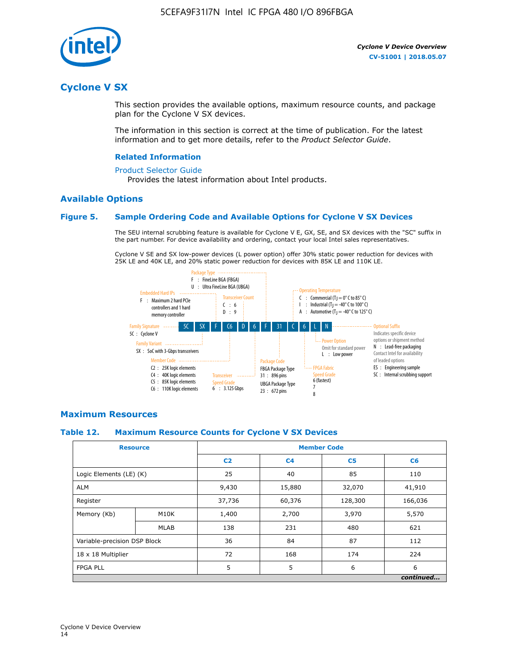

## **Cyclone V SX**

This section provides the available options, maximum resource counts, and package plan for the Cyclone V SX devices.

The information in this section is correct at the time of publication. For the latest information and to get more details, refer to the *Product Selector Guide*.

#### **Related Information**

#### [Product Selector Guide](https://www.altera.com/products/product-selector-guide.html)

Provides the latest information about Intel products.

#### **Available Options**

#### **Figure 5. Sample Ordering Code and Available Options for Cyclone V SX Devices**

The SEU internal scrubbing feature is available for Cyclone V E, GX, SE, and SX devices with the "SC" suffix in the part number. For device availability and ordering, contact your local Intel sales representatives.

Cyclone V SE and SX low-power devices (L power option) offer 30% static power reduction for devices with 25K LE and 40K LE, and 20% static power reduction for devices with 85K LE and 110K LE.



#### **Maximum Resources**

#### **Table 12. Maximum Resource Counts for Cyclone V SX Devices**

|                              | <b>Resource</b> | <b>Member Code</b> |                |                |           |  |
|------------------------------|-----------------|--------------------|----------------|----------------|-----------|--|
|                              |                 | C <sub>2</sub>     | C <sub>4</sub> | C <sub>5</sub> | C6        |  |
| Logic Elements (LE) (K)      |                 | 25                 | 40             | 85             | 110       |  |
| <b>ALM</b>                   |                 | 9,430              | 15,880         | 32,070         | 41,910    |  |
| Register                     |                 | 37,736             | 60,376         | 128,300        | 166,036   |  |
| Memory (Kb)                  | M10K            | 1,400              | 2,700          | 3,970          | 5,570     |  |
|                              | <b>MLAB</b>     | 138                | 231            | 480            | 621       |  |
| Variable-precision DSP Block |                 | 36                 | 84             | 87             | 112       |  |
| 18 x 18 Multiplier           |                 | 72                 | 168            | 174            | 224       |  |
| <b>FPGA PLL</b>              |                 | 5                  | 5              | 6              | 6         |  |
|                              |                 |                    |                |                | continued |  |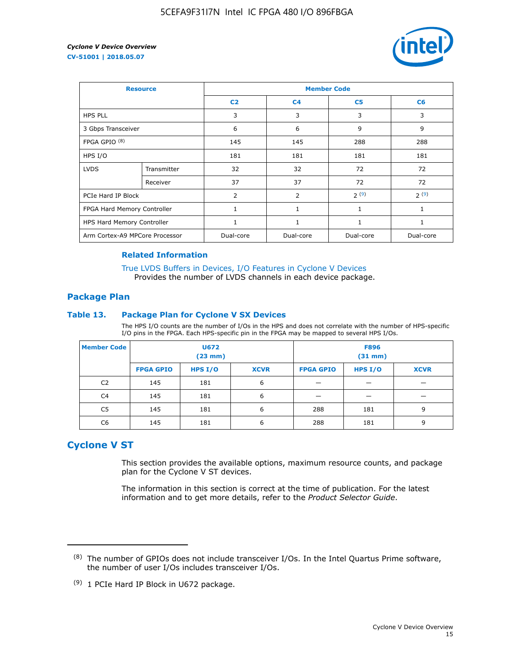

| <b>Resource</b>                |             | <b>Member Code</b> |                |                |                |  |  |
|--------------------------------|-------------|--------------------|----------------|----------------|----------------|--|--|
|                                |             | C <sub>2</sub>     | C <sub>4</sub> | C <sub>5</sub> | C <sub>6</sub> |  |  |
| <b>HPS PLL</b>                 |             | 3                  | 3              | 3              | 3              |  |  |
| 3 Gbps Transceiver             |             | 6                  | 6              | 9              | 9              |  |  |
| FPGA GPIO <sup>(8)</sup>       |             | 145                | 145            | 288            | 288            |  |  |
| HPS I/O                        |             | 181                | 181            | 181            | 181            |  |  |
| <b>LVDS</b>                    | Transmitter | 32                 | 32             | 72             | 72             |  |  |
|                                | Receiver    | 37                 | 37             | 72             | 72             |  |  |
| PCIe Hard IP Block             |             | $\overline{2}$     | $\overline{2}$ | 2(9)           | 2(9)           |  |  |
| FPGA Hard Memory Controller    |             | $\mathbf{1}$       | $\mathbf{1}$   | $\mathbf{1}$   | $\mathbf{1}$   |  |  |
| HPS Hard Memory Controller     |             |                    | $\mathbf{1}$   | 1              | 1              |  |  |
| Arm Cortex-A9 MPCore Processor |             | Dual-core          | Dual-core      | Dual-core      | Dual-core      |  |  |

#### **Related Information**

[True LVDS Buffers in Devices, I/O Features in Cyclone V Devices](https://www.altera.com/documentation/sam1403481100977.html#sam1403480885395) Provides the number of LVDS channels in each device package.

#### **Package Plan**

#### **Table 13. Package Plan for Cyclone V SX Devices**

The HPS I/O counts are the number of I/Os in the HPS and does not correlate with the number of HPS-specific I/O pins in the FPGA. Each HPS-specific pin in the FPGA may be mapped to several HPS I/Os.

| <b>Member Code</b> | U672<br>(23 mm)  |           | <b>F896</b><br>$(31$ mm $)$ |                  |         |             |
|--------------------|------------------|-----------|-----------------------------|------------------|---------|-------------|
|                    | <b>FPGA GPIO</b> | HPS $I/O$ | <b>XCVR</b>                 | <b>FPGA GPIO</b> | HPS I/O | <b>XCVR</b> |
| C <sub>2</sub>     | 145              | 181       | 6                           |                  |         |             |
| C4                 | 145              | 181       | 6                           |                  |         |             |
| C <sub>5</sub>     | 145              | 181       | 6                           | 288              | 181     | 9           |
| C6                 | 145              | 181       | 6                           | 288              | 181     | 9           |

## **Cyclone V ST**

This section provides the available options, maximum resource counts, and package plan for the Cyclone V ST devices.

The information in this section is correct at the time of publication. For the latest information and to get more details, refer to the *Product Selector Guide*.

 $(8)$  The number of GPIOs does not include transceiver I/Os. In the Intel Quartus Prime software, the number of user I/Os includes transceiver I/Os.

<sup>(9)</sup> 1 PCIe Hard IP Block in U672 package.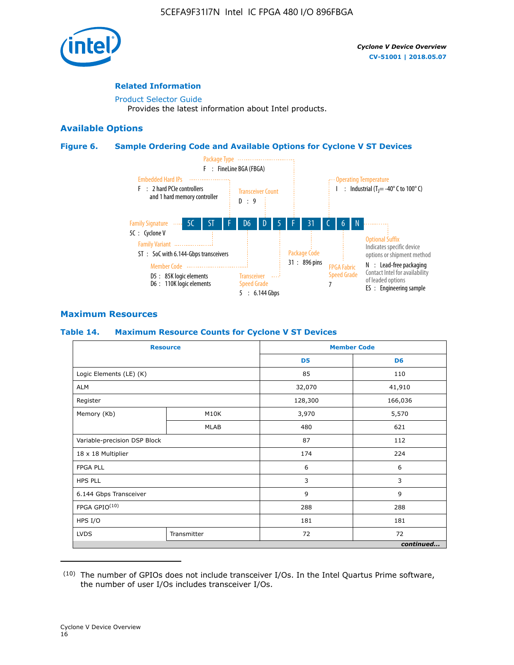

#### **Related Information**

[Product Selector Guide](https://www.altera.com/products/product-selector-guide.html) Provides the latest information about Intel products.

#### **Available Options**

#### **Figure 6. Sample Ordering Code and Available Options for Cyclone V ST Devices**



#### **Maximum Resources**

#### **Table 14. Maximum Resource Counts for Cyclone V ST Devices**

| <b>Resource</b>              |             |                | <b>Member Code</b> |
|------------------------------|-------------|----------------|--------------------|
|                              |             | D <sub>5</sub> | D <sub>6</sub>     |
| Logic Elements (LE) (K)      |             | 85             | 110                |
| <b>ALM</b>                   |             | 32,070         | 41,910             |
| Register                     |             | 128,300        | 166,036            |
| Memory (Kb)                  | M10K        | 3,970          | 5,570              |
|                              | <b>MLAB</b> | 480            | 621                |
| Variable-precision DSP Block |             | 87             | 112                |
| 18 x 18 Multiplier           |             | 174            | 224                |
| <b>FPGA PLL</b>              |             | 6              | 6                  |
| <b>HPS PLL</b>               |             | 3              | 3                  |
| 6.144 Gbps Transceiver       |             | 9              | 9                  |
| FPGA GPIO(10)                |             | 288            | 288                |
| HPS I/O                      |             | 181            | 181                |
| <b>LVDS</b><br>Transmitter   |             | 72             | 72                 |
|                              |             |                | continued          |

<sup>(10)</sup> The number of GPIOs does not include transceiver I/Os. In the Intel Quartus Prime software, the number of user I/Os includes transceiver I/Os.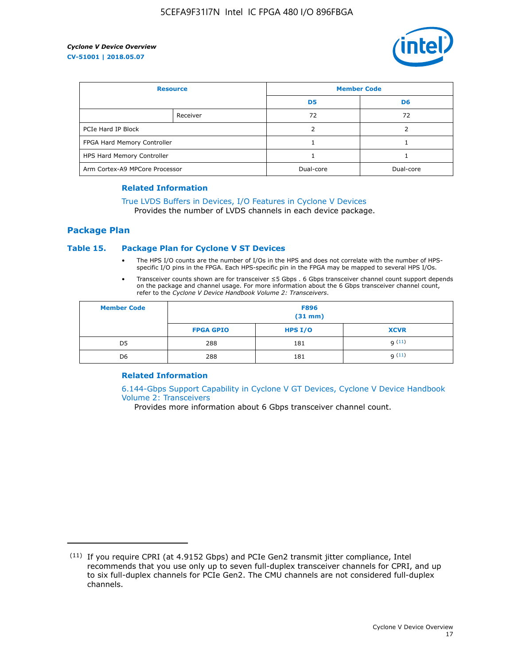

| <b>Resource</b>                |          | <b>Member Code</b> |                |  |
|--------------------------------|----------|--------------------|----------------|--|
|                                |          | D <sub>5</sub>     | D <sub>6</sub> |  |
|                                | Receiver | 72                 | 72             |  |
| PCIe Hard IP Block             |          |                    |                |  |
| FPGA Hard Memory Controller    |          |                    |                |  |
| HPS Hard Memory Controller     |          |                    |                |  |
| Arm Cortex-A9 MPCore Processor |          | Dual-core          | Dual-core      |  |

#### **Related Information**

## [True LVDS Buffers in Devices, I/O Features in Cyclone V Devices](https://www.altera.com/documentation/sam1403481100977.html#sam1403480885395)

Provides the number of LVDS channels in each device package.

#### **Package Plan**

#### **Table 15. Package Plan for Cyclone V ST Devices**

- The HPS I/O counts are the number of I/Os in the HPS and does not correlate with the number of HPSspecific I/O pins in the FPGA. Each HPS-specific pin in the FPGA may be mapped to several HPS I/Os.
- Transceiver counts shown are for transceiver ≤5 Gbps . 6 Gbps transceiver channel count support depends on the package and channel usage. For more information about the 6 Gbps transceiver channel count, refer to the *Cyclone V Device Handbook Volume 2: Transceivers*.

| <b>Member Code</b> | <b>F896</b><br>$(31$ mm $)$ |           |             |  |  |
|--------------------|-----------------------------|-----------|-------------|--|--|
|                    | <b>FPGA GPIO</b>            | HPS $I/O$ | <b>XCVR</b> |  |  |
| D <sub>5</sub>     | 288                         | 181       | 9(11)       |  |  |
| D <sub>6</sub>     | 288                         | 181       | q(11)       |  |  |

#### **Related Information**

[6.144-Gbps Support Capability in Cyclone V GT Devices, Cyclone V Device Handbook](https://www.altera.com/documentation/nik1409855456781.html#nik1409855410757) [Volume 2: Transceivers](https://www.altera.com/documentation/nik1409855456781.html#nik1409855410757)

Provides more information about 6 Gbps transceiver channel count.

<sup>(11)</sup> If you require CPRI (at 4.9152 Gbps) and PCIe Gen2 transmit jitter compliance, Intel recommends that you use only up to seven full-duplex transceiver channels for CPRI, and up to six full-duplex channels for PCIe Gen2. The CMU channels are not considered full-duplex channels.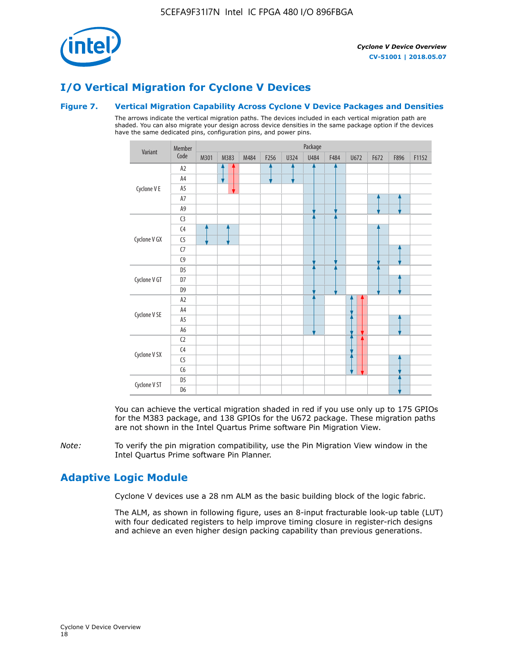

## **I/O Vertical Migration for Cyclone V Devices**

#### **Figure 7. Vertical Migration Capability Across Cyclone V Device Packages and Densities**

The arrows indicate the vertical migration paths. The devices included in each vertical migration path are shaded. You can also migrate your design across device densities in the same package option if the devices have the same dedicated pins, configuration pins, and power pins.



You can achieve the vertical migration shaded in red if you use only up to 175 GPIOs for the M383 package, and 138 GPIOs for the U672 package. These migration paths are not shown in the Intel Quartus Prime software Pin Migration View.

*Note:* To verify the pin migration compatibility, use the Pin Migration View window in the Intel Quartus Prime software Pin Planner.

## **Adaptive Logic Module**

Cyclone V devices use a 28 nm ALM as the basic building block of the logic fabric.

The ALM, as shown in following figure, uses an 8-input fracturable look-up table (LUT) with four dedicated registers to help improve timing closure in register-rich designs and achieve an even higher design packing capability than previous generations.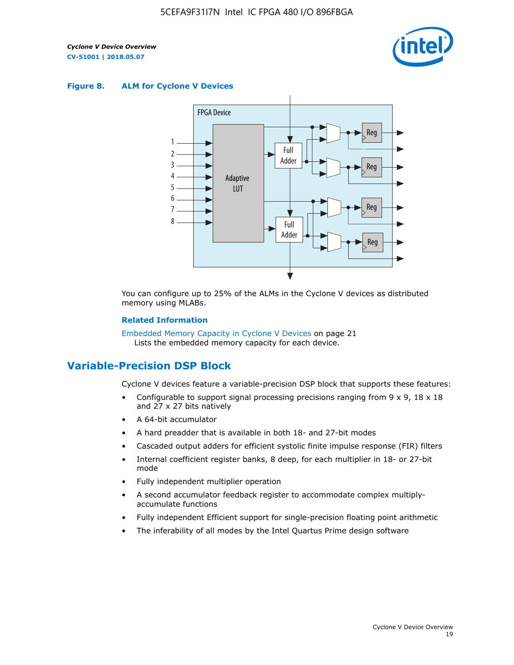

#### **Figure 8. ALM for Cyclone V Devices**



You can configure up to 25% of the ALMs in the Cyclone V devices as distributed memory using MLABs.

#### **Related Information**

Embedded Memory Capacity in Cyclone V Devices on page 21 Lists the embedded memory capacity for each device.

## **Variable-Precision DSP Block**

Cyclone V devices feature a variable-precision DSP block that supports these features:

- Configurable to support signal processing precisions ranging from  $9 \times 9$ ,  $18 \times 18$ and 27 x 27 bits natively
- A 64-bit accumulator
- A hard preadder that is available in both 18- and 27-bit modes
- Cascaded output adders for efficient systolic finite impulse response (FIR) filters
- Internal coefficient register banks, 8 deep, for each multiplier in 18- or 27-bit mode
- Fully independent multiplier operation
- A second accumulator feedback register to accommodate complex multiplyaccumulate functions
- Fully independent Efficient support for single-precision floating point arithmetic
- The inferability of all modes by the Intel Quartus Prime design software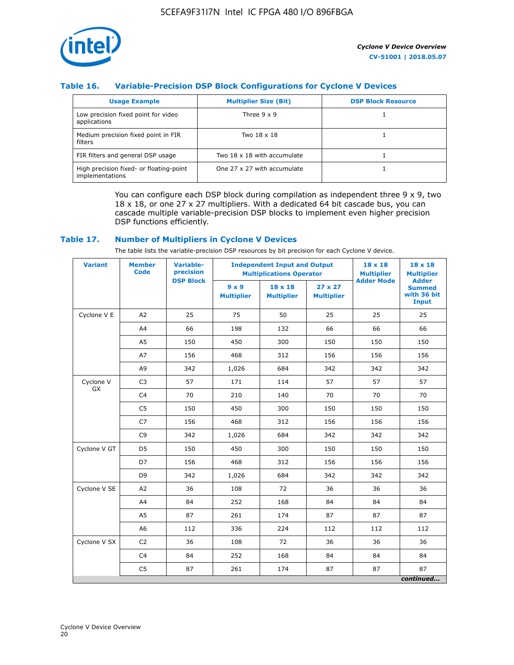

#### **Table 16. Variable-Precision DSP Block Configurations for Cyclone V Devices**

| <b>Usage Example</b>                                       | <b>Multiplier Size (Bit)</b> | <b>DSP Block Resource</b> |
|------------------------------------------------------------|------------------------------|---------------------------|
| Low precision fixed point for video<br>applications        | Three $9 \times 9$           |                           |
| Medium precision fixed point in FIR<br>filters             | Two 18 x 18                  |                           |
| FIR filters and general DSP usage                          | Two 18 x 18 with accumulate  |                           |
| High precision fixed- or floating-point<br>implementations | One 27 x 27 with accumulate  |                           |

You can configure each DSP block during compilation as independent three  $9 \times 9$ , two 18 x 18, or one 27 x 27 multipliers. With a dedicated 64 bit cascade bus, you can cascade multiple variable-precision DSP blocks to implement even higher precision DSP functions efficiently.

#### **Table 17. Number of Multipliers in Cyclone V Devices**

The table lists the variable-precision DSP resources by bit precision for each Cyclone V device.

| <b>Variant</b>  | <b>Member</b><br><b>Code</b> | <b>Variable-</b><br>precision |                                   | <b>Independent Input and Output</b><br><b>Multiplications Operator</b> | $18 \times 18$<br><b>Multiplier</b> | $18 \times 18$<br><b>Multiplier</b> |                                                              |
|-----------------|------------------------------|-------------------------------|-----------------------------------|------------------------------------------------------------------------|-------------------------------------|-------------------------------------|--------------------------------------------------------------|
|                 |                              | <b>DSP Block</b>              | $9 \times 9$<br><b>Multiplier</b> | $18 \times 18$<br><b>Multiplier</b>                                    | $27 \times 27$<br><b>Multiplier</b> | <b>Adder Mode</b>                   | <b>Adder</b><br><b>Summed</b><br>with 36 bit<br><b>Input</b> |
| Cyclone V E     | A2                           | 25                            | 75                                | 50                                                                     | 25                                  | 25                                  | 25                                                           |
|                 | A4                           | 66                            | 198                               | 132                                                                    | 66                                  | 66                                  | 66                                                           |
|                 | A5                           | 150                           | 450                               | 300                                                                    | 150                                 | 150                                 | 150                                                          |
|                 | A7                           | 156                           | 468                               | 312                                                                    | 156                                 | 156                                 | 156                                                          |
|                 | A9                           | 342                           | 1,026                             | 684                                                                    | 342                                 | 342                                 | 342                                                          |
| Cyclone V<br>GX | C <sub>3</sub>               | 57                            | 171                               | 114                                                                    | 57                                  | 57                                  | 57                                                           |
|                 | C <sub>4</sub>               | 70                            | 210                               | 140                                                                    | 70                                  | 70                                  | 70                                                           |
|                 | C <sub>5</sub>               | 150                           | 450                               | 300                                                                    | 150                                 | 150                                 | 150                                                          |
|                 | C7                           | 156                           | 468                               | 312                                                                    | 156                                 | 156                                 | 156                                                          |
|                 | C <sub>9</sub>               | 342                           | 1,026                             | 684                                                                    | 342                                 | 342                                 | 342                                                          |
| Cyclone V GT    | D <sub>5</sub>               | 150                           | 450                               | 300                                                                    | 150                                 | 150                                 | 150                                                          |
|                 | D7                           | 156                           | 468                               | 312                                                                    | 156                                 | 156                                 | 156                                                          |
|                 | D <sub>9</sub>               | 342                           | 1,026                             | 684                                                                    | 342                                 | 342                                 | 342                                                          |
| Cyclone V SE    | A <sub>2</sub>               | 36                            | 108                               | 72                                                                     | 36                                  | 36                                  | 36                                                           |
|                 | A4                           | 84                            | 252                               | 168                                                                    | 84                                  | 84                                  | 84                                                           |
|                 | A5                           | 87                            | 261                               | 174                                                                    | 87                                  | 87                                  | 87                                                           |
|                 | A <sub>6</sub>               | 112                           | 336                               | 224                                                                    | 112                                 | 112                                 | 112                                                          |
| Cyclone V SX    | C <sub>2</sub>               | 36                            | 108                               | 72                                                                     | 36                                  | 36                                  | 36                                                           |
|                 | C <sub>4</sub>               | 84                            | 252                               | 168                                                                    | 84                                  | 84                                  | 84                                                           |
|                 | C <sub>5</sub>               | 87                            | 261                               | 174                                                                    | 87                                  | 87                                  | 87                                                           |
|                 |                              |                               |                                   |                                                                        |                                     |                                     | continued                                                    |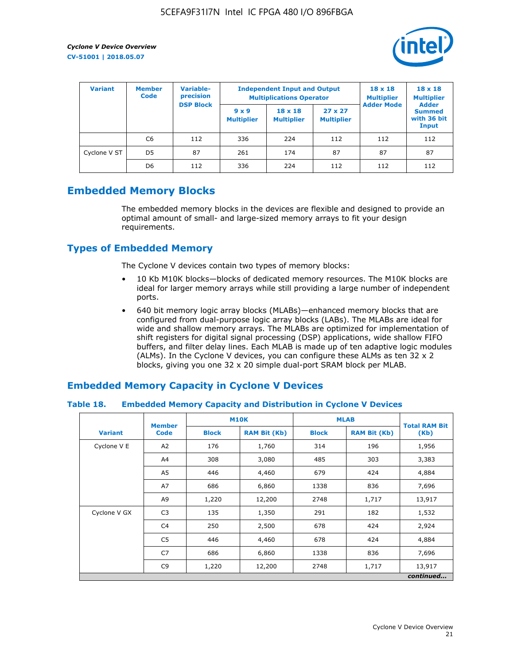

| <b>Variant</b> | <b>Variable-</b><br><b>Member</b><br>precision<br><b>Code</b> |                  | <b>Independent Input and Output</b><br><b>Multiplications Operator</b> | $18 \times 18$<br><b>Multiplier</b> | $18 \times 18$<br><b>Multiplier</b><br><b>Adder</b> |                   |                                       |
|----------------|---------------------------------------------------------------|------------------|------------------------------------------------------------------------|-------------------------------------|-----------------------------------------------------|-------------------|---------------------------------------|
|                |                                                               | <b>DSP Block</b> | $9 \times 9$<br><b>Multiplier</b>                                      | $18 \times 18$<br><b>Multiplier</b> | $27 \times 27$<br><b>Multiplier</b>                 | <b>Adder Mode</b> | <b>Summed</b><br>with 36 bit<br>Input |
|                | C6                                                            | 112              | 336                                                                    | 224                                 | 112                                                 | 112               | 112                                   |
| Cyclone V ST   | D <sub>5</sub>                                                | 87               | 261                                                                    | 174                                 | 87                                                  | 87                | 87                                    |
|                | D <sub>6</sub>                                                | 112              | 336                                                                    | 224                                 | 112                                                 | 112               | 112                                   |

## **Embedded Memory Blocks**

The embedded memory blocks in the devices are flexible and designed to provide an optimal amount of small- and large-sized memory arrays to fit your design requirements.

## **Types of Embedded Memory**

The Cyclone V devices contain two types of memory blocks:

- 10 Kb M10K blocks—blocks of dedicated memory resources. The M10K blocks are ideal for larger memory arrays while still providing a large number of independent ports.
- 640 bit memory logic array blocks (MLABs)—enhanced memory blocks that are configured from dual-purpose logic array blocks (LABs). The MLABs are ideal for wide and shallow memory arrays. The MLABs are optimized for implementation of shift registers for digital signal processing (DSP) applications, wide shallow FIFO buffers, and filter delay lines. Each MLAB is made up of ten adaptive logic modules (ALMs). In the Cyclone V devices, you can configure these ALMs as ten 32 x 2 blocks, giving you one 32 x 20 simple dual-port SRAM block per MLAB.

## **Embedded Memory Capacity in Cyclone V Devices**

#### **Table 18. Embedded Memory Capacity and Distribution in Cyclone V Devices**

|                | <b>Member</b>  | <b>M10K</b>  |                     | <b>MLAB</b>  | <b>Total RAM Bit</b> |        |  |  |  |
|----------------|----------------|--------------|---------------------|--------------|----------------------|--------|--|--|--|
| <b>Variant</b> | <b>Code</b>    | <b>Block</b> | <b>RAM Bit (Kb)</b> | <b>Block</b> | <b>RAM Bit (Kb)</b>  | (Kb)   |  |  |  |
| Cyclone V E    | A2             | 176          | 1,760               | 314          | 196                  | 1,956  |  |  |  |
|                | A4             | 308          | 3,080               | 485          | 303                  | 3,383  |  |  |  |
|                | A5             | 446          | 4,460               | 679          | 424                  | 4,884  |  |  |  |
|                | A7             | 686          | 6,860               | 1338         | 836                  | 7,696  |  |  |  |
|                | A9             | 1,220        | 12,200              | 2748         | 1,717                | 13,917 |  |  |  |
| Cyclone V GX   | C <sub>3</sub> | 135          | 1,350               | 291          | 182                  | 1,532  |  |  |  |
|                | C4             | 250          | 2,500               | 678          | 424                  | 2,924  |  |  |  |
|                | C5             | 446          | 4,460               | 678          | 424                  | 4,884  |  |  |  |
|                | C7             | 686          | 6,860               | 1338         | 836                  | 7,696  |  |  |  |
|                | C <sub>9</sub> | 1,220        | 12,200              | 2748         | 1,717                | 13,917 |  |  |  |
|                | continued      |              |                     |              |                      |        |  |  |  |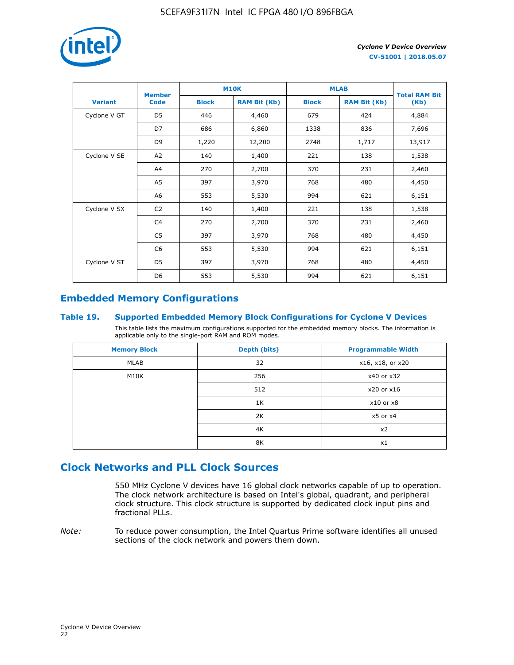

|                | <b>Member</b>  | <b>M10K</b>  |                     | <b>MLAB</b>  | <b>Total RAM Bit</b> |        |
|----------------|----------------|--------------|---------------------|--------------|----------------------|--------|
| <b>Variant</b> | <b>Code</b>    | <b>Block</b> | <b>RAM Bit (Kb)</b> | <b>Block</b> | <b>RAM Bit (Kb)</b>  | (Kb)   |
| Cyclone V GT   | D <sub>5</sub> | 446          | 4,460               | 679          | 424                  | 4,884  |
|                | D7             | 686          | 6,860               | 1338         | 836                  | 7,696  |
|                | D <sub>9</sub> | 1,220        | 12,200              | 2748         | 1,717                | 13,917 |
| Cyclone V SE   | A <sub>2</sub> | 140          | 1,400               | 221          | 138                  | 1,538  |
|                | A4             | 270          | 2,700               | 370          | 231                  | 2,460  |
|                | A5             | 397          | 3,970               | 768          | 480                  | 4,450  |
|                | A6             | 553          | 5,530               | 994          | 621                  | 6,151  |
| Cyclone V SX   | C <sub>2</sub> | 140          | 1,400               | 221          | 138                  | 1,538  |
|                | C <sub>4</sub> | 270          | 2,700               | 370          | 231                  | 2,460  |
|                | C <sub>5</sub> | 397          | 3,970               | 768          | 480                  | 4,450  |
|                | C6             | 553          | 5,530               | 994          | 621                  | 6,151  |
| Cyclone V ST   | D <sub>5</sub> | 397          | 3,970               | 768          | 480                  | 4,450  |
|                | D <sub>6</sub> | 553          | 5,530               | 994          | 621                  | 6,151  |

## **Embedded Memory Configurations**

#### **Table 19. Supported Embedded Memory Block Configurations for Cyclone V Devices**

This table lists the maximum configurations supported for the embedded memory blocks. The information is applicable only to the single-port RAM and ROM modes.

| <b>Memory Block</b> | Depth (bits) | <b>Programmable Width</b> |
|---------------------|--------------|---------------------------|
| MLAB                | 32           | x16, x18, or x20          |
| M10K                | 256          | x40 or x32                |
|                     | 512          | x20 or x16                |
|                     | 1K           | $x10$ or $x8$             |
|                     | 2K           | $x5$ or $x4$              |
|                     | 4K           | x <sub>2</sub>            |
|                     | 8K           | x1                        |

## **Clock Networks and PLL Clock Sources**

550 MHz Cyclone V devices have 16 global clock networks capable of up to operation. The clock network architecture is based on Intel's global, quadrant, and peripheral clock structure. This clock structure is supported by dedicated clock input pins and fractional PLLs.

*Note:* To reduce power consumption, the Intel Quartus Prime software identifies all unused sections of the clock network and powers them down.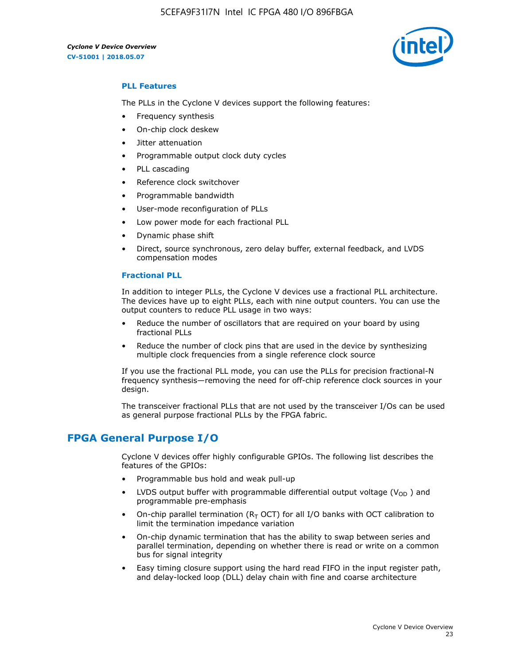5CEFA9F31I7N Intel IC FPGA 480 I/O 896FBGA



#### **PLL Features**

The PLLs in the Cyclone V devices support the following features:

- Frequency synthesis
- On-chip clock deskew
- Jitter attenuation
- Programmable output clock duty cycles
- PLL cascading
- Reference clock switchover
- Programmable bandwidth
- User-mode reconfiguration of PLLs
- Low power mode for each fractional PLL
- Dynamic phase shift
- Direct, source synchronous, zero delay buffer, external feedback, and LVDS compensation modes

#### **Fractional PLL**

In addition to integer PLLs, the Cyclone V devices use a fractional PLL architecture. The devices have up to eight PLLs, each with nine output counters. You can use the output counters to reduce PLL usage in two ways:

- Reduce the number of oscillators that are required on your board by using fractional PLLs
- Reduce the number of clock pins that are used in the device by synthesizing multiple clock frequencies from a single reference clock source

If you use the fractional PLL mode, you can use the PLLs for precision fractional-N frequency synthesis—removing the need for off-chip reference clock sources in your design.

The transceiver fractional PLLs that are not used by the transceiver I/Os can be used as general purpose fractional PLLs by the FPGA fabric.

## **FPGA General Purpose I/O**

Cyclone V devices offer highly configurable GPIOs. The following list describes the features of the GPIOs:

- Programmable bus hold and weak pull-up
- LVDS output buffer with programmable differential output voltage ( $V_{OD}$ ) and programmable pre-emphasis
- On-chip parallel termination ( $R<sub>T</sub>$  OCT) for all I/O banks with OCT calibration to limit the termination impedance variation
- On-chip dynamic termination that has the ability to swap between series and parallel termination, depending on whether there is read or write on a common bus for signal integrity
- Easy timing closure support using the hard read FIFO in the input register path, and delay-locked loop (DLL) delay chain with fine and coarse architecture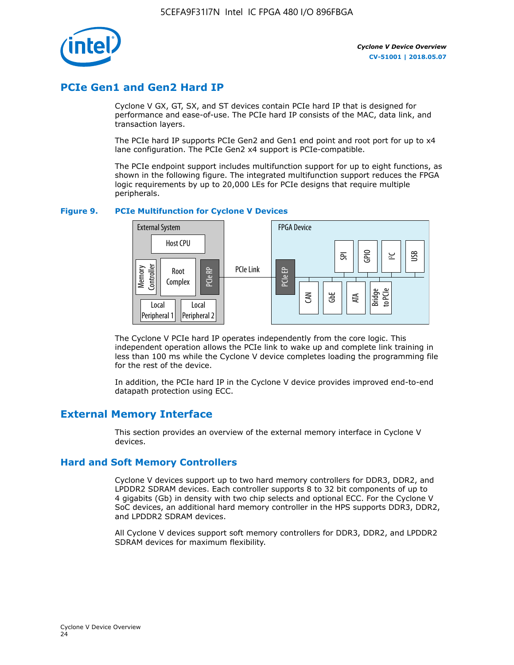

## **PCIe Gen1 and Gen2 Hard IP**

Cyclone V GX, GT, SX, and ST devices contain PCIe hard IP that is designed for performance and ease-of-use. The PCIe hard IP consists of the MAC, data link, and transaction layers.

The PCIe hard IP supports PCIe Gen2 and Gen1 end point and root port for up to x4 lane configuration. The PCIe Gen2 x4 support is PCIe-compatible.

The PCIe endpoint support includes multifunction support for up to eight functions, as shown in the following figure. The integrated multifunction support reduces the FPGA logic requirements by up to 20,000 LEs for PCIe designs that require multiple peripherals.

#### **Figure 9. PCIe Multifunction for Cyclone V Devices**



The Cyclone V PCIe hard IP operates independently from the core logic. This independent operation allows the PCIe link to wake up and complete link training in less than 100 ms while the Cyclone V device completes loading the programming file for the rest of the device.

In addition, the PCIe hard IP in the Cyclone V device provides improved end-to-end datapath protection using ECC.

## **External Memory Interface**

This section provides an overview of the external memory interface in Cyclone V devices.

#### **Hard and Soft Memory Controllers**

Cyclone V devices support up to two hard memory controllers for DDR3, DDR2, and LPDDR2 SDRAM devices. Each controller supports 8 to 32 bit components of up to 4 gigabits (Gb) in density with two chip selects and optional ECC. For the Cyclone V SoC devices, an additional hard memory controller in the HPS supports DDR3, DDR2, and LPDDR2 SDRAM devices.

All Cyclone V devices support soft memory controllers for DDR3, DDR2, and LPDDR2 SDRAM devices for maximum flexibility.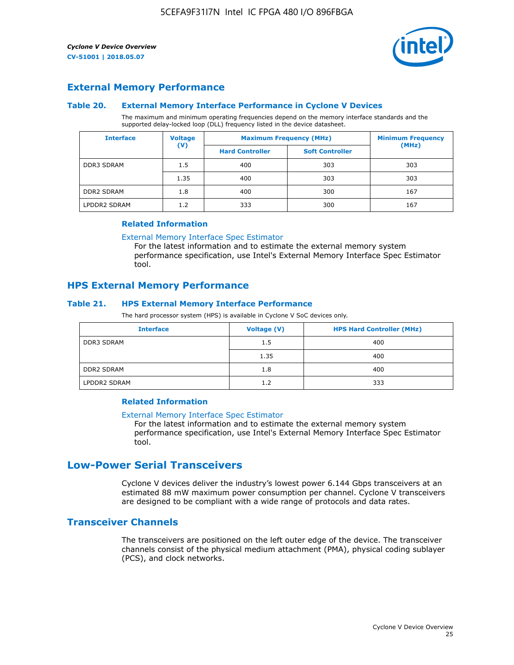

#### **External Memory Performance**

#### **Table 20. External Memory Interface Performance in Cyclone V Devices**

The maximum and minimum operating frequencies depend on the memory interface standards and the supported delay-locked loop (DLL) frequency listed in the device datasheet.

| <b>Voltage</b><br><b>Interface</b> |                | <b>Maximum Frequency (MHz)</b> | <b>Minimum Frequency</b> |       |  |
|------------------------------------|----------------|--------------------------------|--------------------------|-------|--|
|                                    | $(\mathsf{V})$ | <b>Hard Controller</b>         | <b>Soft Controller</b>   | (MHz) |  |
| <b>DDR3 SDRAM</b>                  | 1.5            | 400                            | 303                      | 303   |  |
|                                    | 1.35           | 400                            | 303                      | 303   |  |
| <b>DDR2 SDRAM</b>                  | 1.8            | 400                            | 300                      | 167   |  |
| LPDDR2 SDRAM                       | 1.2            | 333                            | 300                      | 167   |  |

#### **Related Information**

[External Memory Interface Spec Estimator](https://www.altera.com/solutions/technology/external-memory/spec-estimator.html)

For the latest information and to estimate the external memory system performance specification, use Intel's External Memory Interface Spec Estimator tool.

#### **HPS External Memory Performance**

#### **Table 21. HPS External Memory Interface Performance**

The hard processor system (HPS) is available in Cyclone V SoC devices only.

| <b>Interface</b>  | <b>Voltage (V)</b> | <b>HPS Hard Controller (MHz)</b> |
|-------------------|--------------------|----------------------------------|
| <b>DDR3 SDRAM</b> | 1.5                | 400                              |
|                   | 1.35               | 400                              |
| <b>DDR2 SDRAM</b> | 1.8                | 400                              |
| LPDDR2 SDRAM      | 1.2                | 333                              |

#### **Related Information**

#### [External Memory Interface Spec Estimator](https://www.altera.com/solutions/technology/external-memory/spec-estimator.html)

For the latest information and to estimate the external memory system performance specification, use Intel's External Memory Interface Spec Estimator tool.

## **Low-Power Serial Transceivers**

Cyclone V devices deliver the industry's lowest power 6.144 Gbps transceivers at an estimated 88 mW maximum power consumption per channel. Cyclone V transceivers are designed to be compliant with a wide range of protocols and data rates.

#### **Transceiver Channels**

The transceivers are positioned on the left outer edge of the device. The transceiver channels consist of the physical medium attachment (PMA), physical coding sublayer (PCS), and clock networks.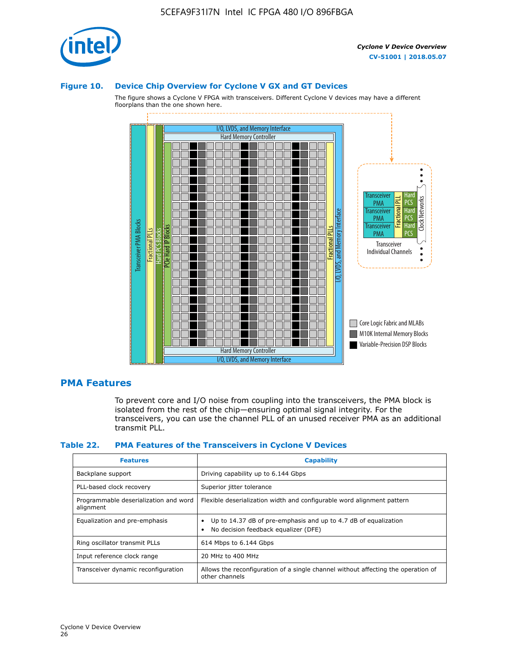

#### **Figure 10. Device Chip Overview for Cyclone V GX and GT Devices**

The figure shows a Cyclone V FPGA with transceivers. Different Cyclone V devices may have a different floorplans than the one shown here.



#### **PMA Features**

To prevent core and I/O noise from coupling into the transceivers, the PMA block is isolated from the rest of the chip—ensuring optimal signal integrity. For the transceivers, you can use the channel PLL of an unused receiver PMA as an additional transmit PLL.

#### **Table 22. PMA Features of the Transceivers in Cyclone V Devices**

| <b>Features</b>                                    | <b>Capability</b>                                                                                       |
|----------------------------------------------------|---------------------------------------------------------------------------------------------------------|
| Backplane support                                  | Driving capability up to 6.144 Gbps                                                                     |
| PLL-based clock recovery                           | Superior jitter tolerance                                                                               |
| Programmable deserialization and word<br>alignment | Flexible deserialization width and configurable word alignment pattern                                  |
| Equalization and pre-emphasis                      | Up to 14.37 dB of pre-emphasis and up to 4.7 dB of equalization<br>No decision feedback equalizer (DFE) |
| Ring oscillator transmit PLLs                      | 614 Mbps to 6.144 Gbps                                                                                  |
| Input reference clock range                        | 20 MHz to 400 MHz                                                                                       |
| Transceiver dynamic reconfiguration                | Allows the reconfiguration of a single channel without affecting the operation of<br>other channels     |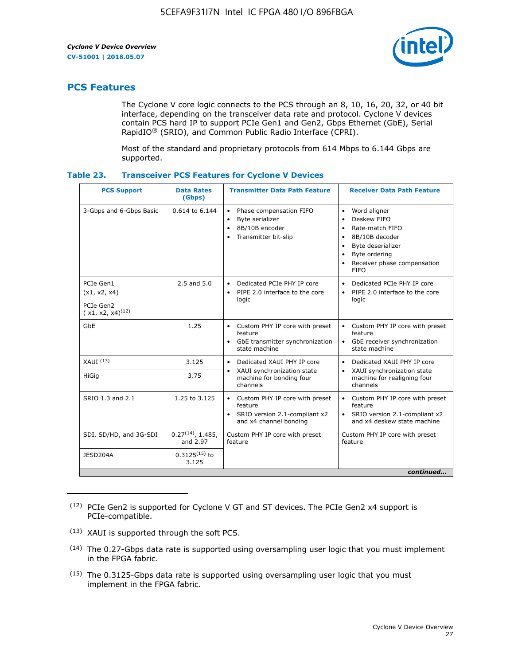

## **PCS Features**

The Cyclone V core logic connects to the PCS through an 8, 10, 16, 20, 32, or 40 bit interface, depending on the transceiver data rate and protocol. Cyclone V devices contain PCS hard IP to support PCIe Gen1 and Gen2, Gbps Ethernet (GbE), Serial RapidIO® (SRIO), and Common Public Radio Interface (CPRI).

Most of the standard and proprietary protocols from 614 Mbps to 6.144 Gbps are supported.

| Table 23. | <b>Transceiver PCS Features for Cyclone V Devices</b> |  |  |  |
|-----------|-------------------------------------------------------|--|--|--|
|-----------|-------------------------------------------------------|--|--|--|

| <b>PCS Support</b>                 | <b>Data Rates</b><br>(Gbps)        | <b>Transmitter Data Path Feature</b>                                                                         | <b>Receiver Data Path Feature</b>                                                                                                                                                                                                  |  |  |  |
|------------------------------------|------------------------------------|--------------------------------------------------------------------------------------------------------------|------------------------------------------------------------------------------------------------------------------------------------------------------------------------------------------------------------------------------------|--|--|--|
| 3-Gbps and 6-Gbps Basic            | 0.614 to 6.144                     | • Phase compensation FIFO<br>Byte serializer<br>8B/10B encoder<br>Transmitter bit-slip                       | Word aligner<br>$\bullet$<br>Deskew FIFO<br>$\bullet$<br>Rate-match FIFO<br>$\bullet$<br>8B/10B decoder<br>$\bullet$<br>Byte deserializer<br>$\bullet$<br>Byte ordering<br>$\bullet$<br>Receiver phase compensation<br><b>FIFO</b> |  |  |  |
| PCIe Gen1<br>(x1, x2, x4)          | $2.5$ and $5.0$                    | Dedicated PCIe PHY IP core<br>PIPE 2.0 interface to the core<br>$\bullet$<br>logic                           | Dedicated PCIe PHY IP core<br>$\bullet$<br>PIPE 2.0 interface to the core<br>$\bullet$<br>logic                                                                                                                                    |  |  |  |
| PCIe Gen2<br>$(x1, x2, x4)^{(12)}$ |                                    |                                                                                                              |                                                                                                                                                                                                                                    |  |  |  |
| GbE                                | 1.25                               | • Custom PHY IP core with preset<br>feature<br>GbE transmitter synchronization<br>$\bullet$<br>state machine | • Custom PHY IP core with preset<br>feature<br>GbE receiver synchronization<br>state machine                                                                                                                                       |  |  |  |
| $XAUI$ $(13)$                      | 3.125                              | Dedicated XAUI PHY IP core<br>$\bullet$                                                                      | Dedicated XAUI PHY IP core<br>$\bullet$                                                                                                                                                                                            |  |  |  |
| HiGig                              | 3.75                               | XAUI synchronization state<br>$\bullet$<br>machine for bonding four<br>channels                              | XAUI synchronization state<br>$\bullet$<br>machine for realigning four<br>channels                                                                                                                                                 |  |  |  |
| SRIO 1.3 and 2.1                   | 1.25 to 3.125                      | • Custom PHY IP core with preset<br>feature<br>• SRIO version 2.1-compliant x2<br>and x4 channel bonding     | • Custom PHY IP core with preset<br>feature<br>• SRIO version 2.1-compliant x2<br>and x4 deskew state machine                                                                                                                      |  |  |  |
| SDI, SD/HD, and 3G-SDI             | $0.27^{(14)}$ , 1.485,<br>and 2.97 | Custom PHY IP core with preset<br>feature                                                                    | Custom PHY IP core with preset<br>feature                                                                                                                                                                                          |  |  |  |
| JESD204A                           | $0.3125^{(15)}$ to<br>3.125        |                                                                                                              |                                                                                                                                                                                                                                    |  |  |  |
| continued                          |                                    |                                                                                                              |                                                                                                                                                                                                                                    |  |  |  |

<sup>(12)</sup> PCIe Gen2 is supported for Cyclone V GT and ST devices. The PCIe Gen2 x4 support is PCIe-compatible.

<sup>(13)</sup> XAUI is supported through the soft PCS.

<sup>(14)</sup> The 0.27-Gbps data rate is supported using oversampling user logic that you must implement in the FPGA fabric.

<sup>(15)</sup> The 0.3125-Gbps data rate is supported using oversampling user logic that you must implement in the FPGA fabric.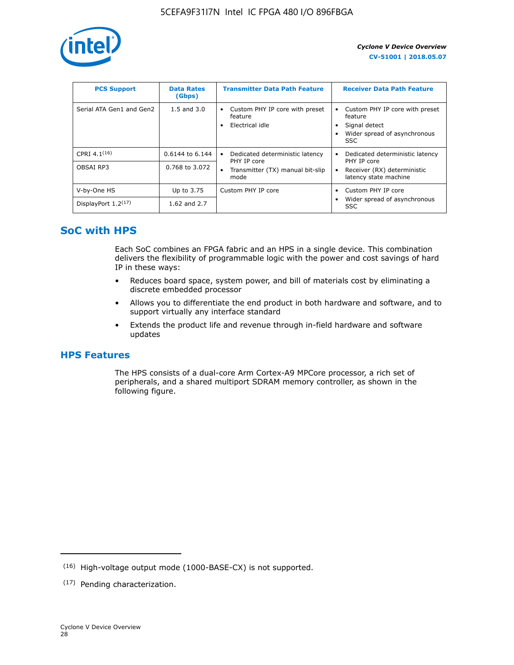

| <b>PCS Support</b>       | <b>Data Rates</b><br>(Gbps) | <b>Transmitter Data Path Feature</b>                         | <b>Receiver Data Path Feature</b>                                                                        |
|--------------------------|-----------------------------|--------------------------------------------------------------|----------------------------------------------------------------------------------------------------------|
| Serial ATA Gen1 and Gen2 | $1.5$ and $3.0$             | Custom PHY IP core with preset<br>feature<br>Electrical idle | Custom PHY IP core with preset<br>feature<br>Signal detect<br>Wider spread of asynchronous<br><b>SSC</b> |
| CPRI $4.1^{(16)}$        | $0.6144$ to 6.144           | Dedicated deterministic latency<br>٠<br>PHY IP core          | Dedicated deterministic latency<br>PHY IP core                                                           |
| OBSAI RP3                | 0.768 to 3.072              | Transmitter (TX) manual bit-slip<br>mode                     | Receiver (RX) deterministic<br>latency state machine                                                     |
| V-by-One HS              | Up to 3.75                  | Custom PHY IP core                                           | Custom PHY IP core<br>$\bullet$                                                                          |
| DisplayPort $1.2^{(17)}$ | 1.62 and $2.7$              |                                                              | Wider spread of asynchronous<br><b>SSC</b>                                                               |

## **SoC with HPS**

Each SoC combines an FPGA fabric and an HPS in a single device. This combination delivers the flexibility of programmable logic with the power and cost savings of hard IP in these ways:

- Reduces board space, system power, and bill of materials cost by eliminating a discrete embedded processor
- Allows you to differentiate the end product in both hardware and software, and to support virtually any interface standard
- Extends the product life and revenue through in-field hardware and software updates

## **HPS Features**

The HPS consists of a dual-core Arm Cortex-A9 MPCore processor, a rich set of peripherals, and a shared multiport SDRAM memory controller, as shown in the following figure.

<sup>(16)</sup> High-voltage output mode (1000-BASE-CX) is not supported.

<sup>(17)</sup> Pending characterization.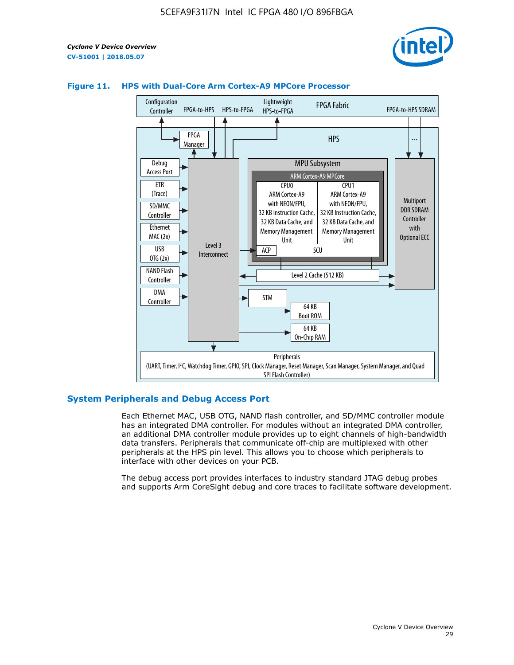



#### **Figure 11. HPS with Dual-Core Arm Cortex-A9 MPCore Processor**

#### **System Peripherals and Debug Access Port**

Each Ethernet MAC, USB OTG, NAND flash controller, and SD/MMC controller module has an integrated DMA controller. For modules without an integrated DMA controller, an additional DMA controller module provides up to eight channels of high-bandwidth data transfers. Peripherals that communicate off-chip are multiplexed with other peripherals at the HPS pin level. This allows you to choose which peripherals to interface with other devices on your PCB.

The debug access port provides interfaces to industry standard JTAG debug probes and supports Arm CoreSight debug and core traces to facilitate software development.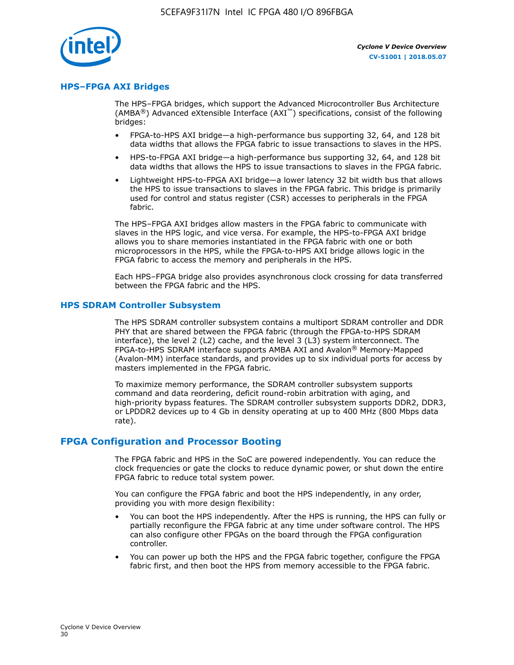

#### **HPS–FPGA AXI Bridges**

The HPS–FPGA bridges, which support the Advanced Microcontroller Bus Architecture (AMBA<sup>®</sup>) Advanced eXtensible Interface (AXI<sup>™</sup>) specifications, consist of the following bridges:

- FPGA-to-HPS AXI bridge—a high-performance bus supporting 32, 64, and 128 bit data widths that allows the FPGA fabric to issue transactions to slaves in the HPS.
- HPS-to-FPGA AXI bridge—a high-performance bus supporting 32, 64, and 128 bit data widths that allows the HPS to issue transactions to slaves in the FPGA fabric.
- Lightweight HPS-to-FPGA AXI bridge—a lower latency 32 bit width bus that allows the HPS to issue transactions to slaves in the FPGA fabric. This bridge is primarily used for control and status register (CSR) accesses to peripherals in the FPGA fabric.

The HPS–FPGA AXI bridges allow masters in the FPGA fabric to communicate with slaves in the HPS logic, and vice versa. For example, the HPS-to-FPGA AXI bridge allows you to share memories instantiated in the FPGA fabric with one or both microprocessors in the HPS, while the FPGA-to-HPS AXI bridge allows logic in the FPGA fabric to access the memory and peripherals in the HPS.

Each HPS–FPGA bridge also provides asynchronous clock crossing for data transferred between the FPGA fabric and the HPS.

#### **HPS SDRAM Controller Subsystem**

The HPS SDRAM controller subsystem contains a multiport SDRAM controller and DDR PHY that are shared between the FPGA fabric (through the FPGA-to-HPS SDRAM interface), the level 2 (L2) cache, and the level 3 (L3) system interconnect. The FPGA-to-HPS SDRAM interface supports AMBA AXI and Avalon® Memory-Mapped (Avalon-MM) interface standards, and provides up to six individual ports for access by masters implemented in the FPGA fabric.

To maximize memory performance, the SDRAM controller subsystem supports command and data reordering, deficit round-robin arbitration with aging, and high-priority bypass features. The SDRAM controller subsystem supports DDR2, DDR3, or LPDDR2 devices up to 4 Gb in density operating at up to 400 MHz (800 Mbps data rate).

#### **FPGA Configuration and Processor Booting**

The FPGA fabric and HPS in the SoC are powered independently. You can reduce the clock frequencies or gate the clocks to reduce dynamic power, or shut down the entire FPGA fabric to reduce total system power.

You can configure the FPGA fabric and boot the HPS independently, in any order, providing you with more design flexibility:

- You can boot the HPS independently. After the HPS is running, the HPS can fully or partially reconfigure the FPGA fabric at any time under software control. The HPS can also configure other FPGAs on the board through the FPGA configuration controller.
- You can power up both the HPS and the FPGA fabric together, configure the FPGA fabric first, and then boot the HPS from memory accessible to the FPGA fabric.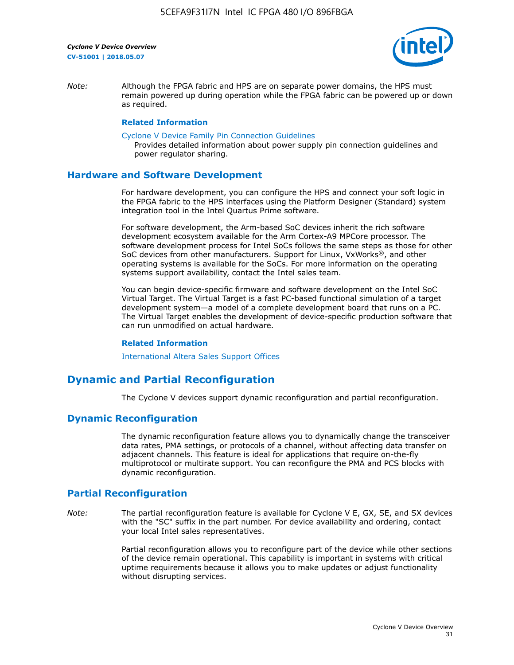

*Note:* Although the FPGA fabric and HPS are on separate power domains, the HPS must remain powered up during operation while the FPGA fabric can be powered up or down as required.

#### **Related Information**

[Cyclone V Device Family Pin Connection Guidelines](https://www.altera.com/content/dam/altera-www/global/en_US/pdfs/literature/dp/cyclone-v/pcg-01014.pdf)

Provides detailed information about power supply pin connection guidelines and power regulator sharing.

#### **Hardware and Software Development**

For hardware development, you can configure the HPS and connect your soft logic in the FPGA fabric to the HPS interfaces using the Platform Designer (Standard) system integration tool in the Intel Quartus Prime software.

For software development, the Arm-based SoC devices inherit the rich software development ecosystem available for the Arm Cortex-A9 MPCore processor. The software development process for Intel SoCs follows the same steps as those for other SoC devices from other manufacturers. Support for Linux, VxWorks®, and other operating systems is available for the SoCs. For more information on the operating systems support availability, contact the Intel sales team.

You can begin device-specific firmware and software development on the Intel SoC Virtual Target. The Virtual Target is a fast PC-based functional simulation of a target development system—a model of a complete development board that runs on a PC. The Virtual Target enables the development of device-specific production software that can run unmodified on actual hardware.

#### **Related Information**

[International Altera Sales Support Offices](https://www.altera.com/about/contact/contact/international-altera-sales-offices.html)

## **Dynamic and Partial Reconfiguration**

The Cyclone V devices support dynamic reconfiguration and partial reconfiguration.

#### **Dynamic Reconfiguration**

The dynamic reconfiguration feature allows you to dynamically change the transceiver data rates, PMA settings, or protocols of a channel, without affecting data transfer on adjacent channels. This feature is ideal for applications that require on-the-fly multiprotocol or multirate support. You can reconfigure the PMA and PCS blocks with dynamic reconfiguration.

## **Partial Reconfiguration**

*Note:* The partial reconfiguration feature is available for Cyclone V E, GX, SE, and SX devices with the "SC" suffix in the part number. For device availability and ordering, contact your local Intel sales representatives.

> Partial reconfiguration allows you to reconfigure part of the device while other sections of the device remain operational. This capability is important in systems with critical uptime requirements because it allows you to make updates or adjust functionality without disrupting services.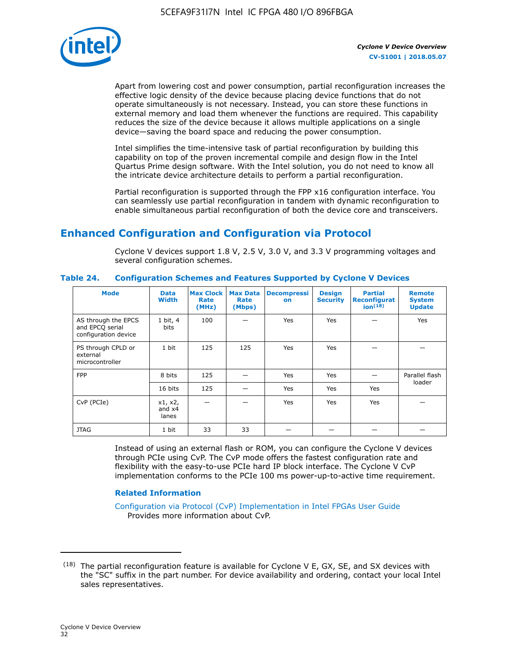

Apart from lowering cost and power consumption, partial reconfiguration increases the effective logic density of the device because placing device functions that do not operate simultaneously is not necessary. Instead, you can store these functions in external memory and load them whenever the functions are required. This capability reduces the size of the device because it allows multiple applications on a single device—saving the board space and reducing the power consumption.

Intel simplifies the time-intensive task of partial reconfiguration by building this capability on top of the proven incremental compile and design flow in the Intel Quartus Prime design software. With the Intel solution, you do not need to know all the intricate device architecture details to perform a partial reconfiguration.

Partial reconfiguration is supported through the FPP x16 configuration interface. You can seamlessly use partial reconfiguration in tandem with dynamic reconfiguration to enable simultaneous partial reconfiguration of both the device core and transceivers.

## **Enhanced Configuration and Configuration via Protocol**

Cyclone V devices support 1.8 V, 2.5 V, 3.0 V, and 3.3 V programming voltages and several configuration schemes.

| <b>Mode</b>                                                    | <b>Data</b><br>Width         | Max Clock  <br>Rate<br>(MHz) | <b>Max Data</b><br>Rate<br>(Mbps) | <b>Decompressi</b><br>on | <b>Design</b><br><b>Security</b> | <b>Partial</b><br>Reconfigurat<br>ion <sup>(18)</sup> | <b>Remote</b><br><b>System</b><br><b>Update</b> |
|----------------------------------------------------------------|------------------------------|------------------------------|-----------------------------------|--------------------------|----------------------------------|-------------------------------------------------------|-------------------------------------------------|
| AS through the EPCS<br>and EPCQ serial<br>configuration device | 1 bit, 4<br>bits             | 100                          |                                   | Yes                      | <b>Yes</b>                       |                                                       | Yes                                             |
| PS through CPLD or<br>external<br>microcontroller              | 1 bit                        | 125                          | 125                               | Yes                      | Yes                              |                                                       |                                                 |
| <b>FPP</b>                                                     | 8 bits                       | 125                          |                                   | Yes                      | <b>Yes</b>                       |                                                       | Parallel flash                                  |
|                                                                | 16 bits                      | 125                          |                                   | Yes                      | <b>Yes</b>                       | Yes                                                   | loader                                          |
| CvP (PCIe)                                                     | x1, x2,<br>and $x4$<br>lanes |                              |                                   | Yes                      | <b>Yes</b>                       | Yes                                                   |                                                 |
| <b>JTAG</b>                                                    | 1 bit                        | 33                           | 33                                |                          |                                  |                                                       |                                                 |

**Table 24. Configuration Schemes and Features Supported by Cyclone V Devices**

Instead of using an external flash or ROM, you can configure the Cyclone V devices through PCIe using CvP. The CvP mode offers the fastest configuration rate and flexibility with the easy-to-use PCIe hard IP block interface. The Cyclone V CvP implementation conforms to the PCIe 100 ms power-up-to-active time requirement.

#### **Related Information**

[Configuration via Protocol \(CvP\) Implementation in Intel FPGAs User Guide](https://www.altera.com/documentation/nik1412546950394.html#nik1412546833714) Provides more information about CvP.

 $(18)$  The partial reconfiguration feature is available for Cyclone V E, GX, SE, and SX devices with the "SC" suffix in the part number. For device availability and ordering, contact your local Intel sales representatives.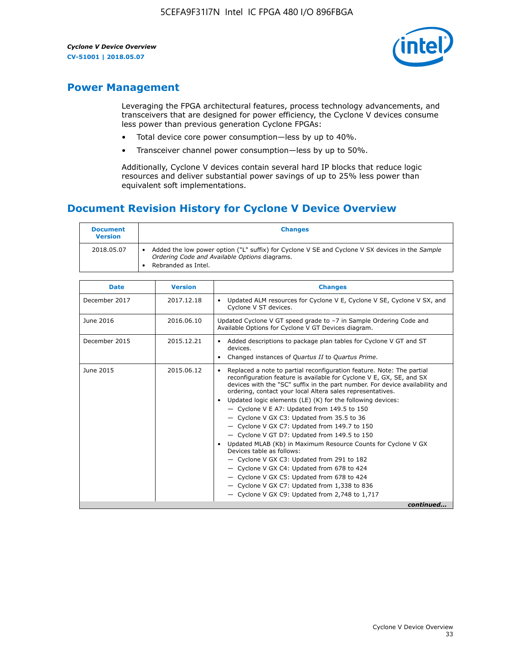

## **Power Management**

Leveraging the FPGA architectural features, process technology advancements, and transceivers that are designed for power efficiency, the Cyclone V devices consume less power than previous generation Cyclone FPGAs:

- Total device core power consumption—less by up to 40%.
- Transceiver channel power consumption—less by up to 50%.

Additionally, Cyclone V devices contain several hard IP blocks that reduce logic resources and deliver substantial power savings of up to 25% less power than equivalent soft implementations.

## **Document Revision History for Cyclone V Device Overview**

| <b>Document</b><br><b>Version</b> | <b>Changes</b>                                                                                                                                                          |
|-----------------------------------|-------------------------------------------------------------------------------------------------------------------------------------------------------------------------|
| 2018.05.07                        | Added the low power option ("L" suffix) for Cyclone V SE and Cyclone V SX devices in the Sample<br>Ordering Code and Available Options diagrams.<br>Rebranded as Intel. |

| <b>Date</b>   | <b>Version</b> | <b>Changes</b>                                                                                                                                                                                                                                                                                                                                                                                                                                                                                                                                                                                                                                                                                                                                                                                                                                                                                                  |
|---------------|----------------|-----------------------------------------------------------------------------------------------------------------------------------------------------------------------------------------------------------------------------------------------------------------------------------------------------------------------------------------------------------------------------------------------------------------------------------------------------------------------------------------------------------------------------------------------------------------------------------------------------------------------------------------------------------------------------------------------------------------------------------------------------------------------------------------------------------------------------------------------------------------------------------------------------------------|
| December 2017 | 2017.12.18     | Updated ALM resources for Cyclone V E, Cyclone V SE, Cyclone V SX, and<br>Cyclone V ST devices.                                                                                                                                                                                                                                                                                                                                                                                                                                                                                                                                                                                                                                                                                                                                                                                                                 |
| June 2016     | 2016.06.10     | Updated Cyclone V GT speed grade to -7 in Sample Ordering Code and<br>Available Options for Cyclone V GT Devices diagram.                                                                                                                                                                                                                                                                                                                                                                                                                                                                                                                                                                                                                                                                                                                                                                                       |
| December 2015 | 2015.12.21     | Added descriptions to package plan tables for Cyclone V GT and ST<br>devices.<br>Changed instances of Quartus II to Quartus Prime.                                                                                                                                                                                                                                                                                                                                                                                                                                                                                                                                                                                                                                                                                                                                                                              |
| June 2015     | 2015.06.12     | Replaced a note to partial reconfiguration feature. Note: The partial<br>reconfiguration feature is available for Cyclone V E, GX, SE, and SX<br>devices with the "SC" suffix in the part number. For device availability and<br>ordering, contact your local Altera sales representatives.<br>Updated logic elements (LE) (K) for the following devices:<br>$\bullet$<br>- Cyclone V E A7: Updated from 149.5 to 150<br>- Cyclone V GX C3: Updated from 35.5 to 36<br>- Cyclone V GX C7: Updated from 149.7 to 150<br>- Cyclone V GT D7: Updated from 149.5 to 150<br>Updated MLAB (Kb) in Maximum Resource Counts for Cyclone V GX<br>Devices table as follows:<br>- Cyclone V GX C3: Updated from 291 to 182<br>- Cyclone V GX C4: Updated from 678 to 424<br>- Cyclone V GX C5: Updated from 678 to 424<br>- Cyclone V GX C7: Updated from 1,338 to 836<br>$-$ Cyclone V GX C9: Updated from 2,748 to 1,717 |
|               |                | continued                                                                                                                                                                                                                                                                                                                                                                                                                                                                                                                                                                                                                                                                                                                                                                                                                                                                                                       |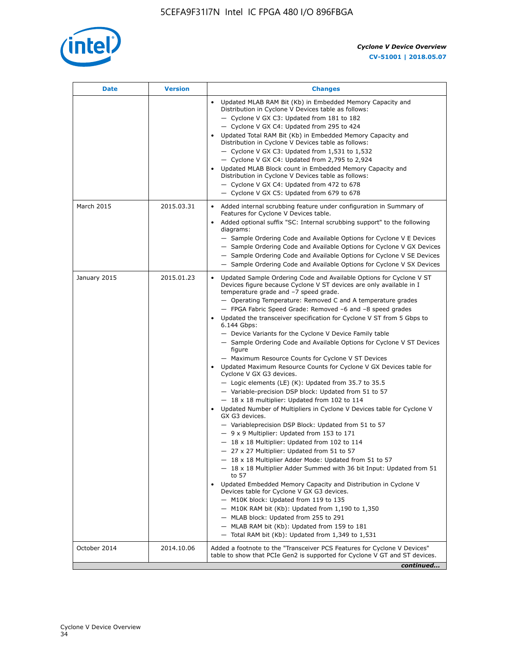

| Date         | <b>Version</b> | <b>Changes</b>                                                                                                                                                                                                                                                                                                                                                                                                                                                                                                                                                                                                                                                                                                                                                                                                                                                                                                                                                                                                                                                                                                                                                                                                                                                                                                                                                                                                                                                                                                                                                                                                                                                                                                  |
|--------------|----------------|-----------------------------------------------------------------------------------------------------------------------------------------------------------------------------------------------------------------------------------------------------------------------------------------------------------------------------------------------------------------------------------------------------------------------------------------------------------------------------------------------------------------------------------------------------------------------------------------------------------------------------------------------------------------------------------------------------------------------------------------------------------------------------------------------------------------------------------------------------------------------------------------------------------------------------------------------------------------------------------------------------------------------------------------------------------------------------------------------------------------------------------------------------------------------------------------------------------------------------------------------------------------------------------------------------------------------------------------------------------------------------------------------------------------------------------------------------------------------------------------------------------------------------------------------------------------------------------------------------------------------------------------------------------------------------------------------------------------|
|              |                | Updated MLAB RAM Bit (Kb) in Embedded Memory Capacity and<br>Distribution in Cyclone V Devices table as follows:<br>- Cyclone V GX C3: Updated from 181 to 182<br>- Cyclone V GX C4: Updated from 295 to 424<br>Updated Total RAM Bit (Kb) in Embedded Memory Capacity and<br>Distribution in Cyclone V Devices table as follows:<br>$-$ Cyclone V GX C3: Updated from 1,531 to 1,532<br>- Cyclone V GX C4: Updated from 2,795 to 2,924<br>Updated MLAB Block count in Embedded Memory Capacity and<br>Distribution in Cyclone V Devices table as follows:<br>- Cyclone V GX C4: Updated from 472 to 678<br>- Cyclone V GX C5: Updated from 679 to 678                                                                                                                                                                                                                                                                                                                                                                                                                                                                                                                                                                                                                                                                                                                                                                                                                                                                                                                                                                                                                                                          |
| March 2015   | 2015.03.31     | Added internal scrubbing feature under configuration in Summary of<br>Features for Cyclone V Devices table.<br>Added optional suffix "SC: Internal scrubbing support" to the following<br>diagrams:<br>- Sample Ordering Code and Available Options for Cyclone V E Devices<br>- Sample Ordering Code and Available Options for Cyclone V GX Devices<br>- Sample Ordering Code and Available Options for Cyclone V SE Devices<br>- Sample Ordering Code and Available Options for Cyclone V SX Devices                                                                                                                                                                                                                                                                                                                                                                                                                                                                                                                                                                                                                                                                                                                                                                                                                                                                                                                                                                                                                                                                                                                                                                                                          |
| January 2015 | 2015.01.23     | Updated Sample Ordering Code and Available Options for Cyclone V ST<br>Devices figure because Cyclone V ST devices are only available in I<br>temperature grade and -7 speed grade.<br>- Operating Temperature: Removed C and A temperature grades<br>- FPGA Fabric Speed Grade: Removed -6 and -8 speed grades<br>Updated the transceiver specification for Cyclone V ST from 5 Gbps to<br>6.144 Gbps:<br>- Device Variants for the Cyclone V Device Family table<br>- Sample Ordering Code and Available Options for Cyclone V ST Devices<br>figure<br>- Maximum Resource Counts for Cyclone V ST Devices<br>• Updated Maximum Resource Counts for Cyclone V GX Devices table for<br>Cyclone V GX G3 devices.<br>$-$ Logic elements (LE) (K): Updated from 35.7 to 35.5<br>- Variable-precision DSP block: Updated from 51 to 57<br>$-18 \times 18$ multiplier: Updated from 102 to 114<br>Updated Number of Multipliers in Cyclone V Devices table for Cyclone V<br>GX G3 devices.<br>- Variableprecision DSP Block: Updated from 51 to 57<br>$-9x9$ Multiplier: Updated from 153 to 171<br>$-18 \times 18$ Multiplier: Updated from 102 to 114<br>- 27 x 27 Multiplier: Updated from 51 to 57<br>18 x 18 Multiplier Adder Mode: Updated from 51 to 57<br>$-18 \times 18$ Multiplier Adder Summed with 36 bit Input: Updated from 51<br>to 57<br>Updated Embedded Memory Capacity and Distribution in Cyclone V<br>Devices table for Cyclone V GX G3 devices.<br>- M10K block: Updated from 119 to 135<br>$-$ M10K RAM bit (Kb): Updated from 1,190 to 1,350<br>- MLAB block: Updated from 255 to 291<br>- MLAB RAM bit (Kb): Updated from 159 to 181<br>$-$ Total RAM bit (Kb): Updated from 1,349 to 1,531 |
| October 2014 | 2014.10.06     | Added a footnote to the "Transceiver PCS Features for Cyclone V Devices"<br>table to show that PCIe Gen2 is supported for Cyclone V GT and ST devices.                                                                                                                                                                                                                                                                                                                                                                                                                                                                                                                                                                                                                                                                                                                                                                                                                                                                                                                                                                                                                                                                                                                                                                                                                                                                                                                                                                                                                                                                                                                                                          |
|              |                | continued                                                                                                                                                                                                                                                                                                                                                                                                                                                                                                                                                                                                                                                                                                                                                                                                                                                                                                                                                                                                                                                                                                                                                                                                                                                                                                                                                                                                                                                                                                                                                                                                                                                                                                       |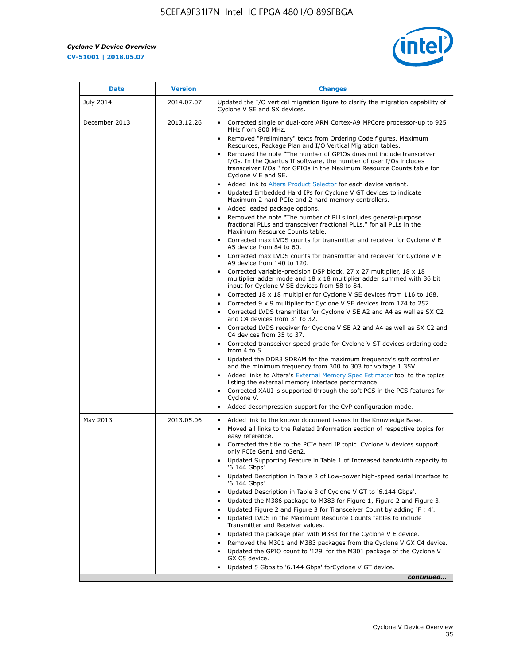r



| <b>Date</b>      | <b>Version</b> | <b>Changes</b>                                                                                                                                                                                                                                                                                                                                                                                                                                                                                                                                                                                                                                                                                                                                                                                                                                                                                                                                                                                                                                                                                                                                                                                                                                                                                                                                                                                                                                      |
|------------------|----------------|-----------------------------------------------------------------------------------------------------------------------------------------------------------------------------------------------------------------------------------------------------------------------------------------------------------------------------------------------------------------------------------------------------------------------------------------------------------------------------------------------------------------------------------------------------------------------------------------------------------------------------------------------------------------------------------------------------------------------------------------------------------------------------------------------------------------------------------------------------------------------------------------------------------------------------------------------------------------------------------------------------------------------------------------------------------------------------------------------------------------------------------------------------------------------------------------------------------------------------------------------------------------------------------------------------------------------------------------------------------------------------------------------------------------------------------------------------|
| <b>July 2014</b> | 2014.07.07     | Updated the I/O vertical migration figure to clarify the migration capability of<br>Cyclone V SE and SX devices.                                                                                                                                                                                                                                                                                                                                                                                                                                                                                                                                                                                                                                                                                                                                                                                                                                                                                                                                                                                                                                                                                                                                                                                                                                                                                                                                    |
| December 2013    | 2013.12.26     | • Corrected single or dual-core ARM Cortex-A9 MPCore processor-up to 925<br>MHz from 800 MHz.<br>Removed "Preliminary" texts from Ordering Code figures, Maximum<br>$\bullet$<br>Resources, Package Plan and I/O Vertical Migration tables.<br>Removed the note "The number of GPIOs does not include transceiver<br>I/Os. In the Quartus II software, the number of user I/Os includes<br>transceiver I/Os." for GPIOs in the Maximum Resource Counts table for<br>Cyclone V E and SE.<br>Added link to Altera Product Selector for each device variant.<br>• Updated Embedded Hard IPs for Cyclone V GT devices to indicate<br>Maximum 2 hard PCIe and 2 hard memory controllers.<br>• Added leaded package options.<br>Removed the note "The number of PLLs includes general-purpose                                                                                                                                                                                                                                                                                                                                                                                                                                                                                                                                                                                                                                                             |
|                  |                | fractional PLLs and transceiver fractional PLLs." for all PLLs in the<br>Maximum Resource Counts table.<br>• Corrected max LVDS counts for transmitter and receiver for Cyclone V E<br>A5 device from 84 to 60.<br>• Corrected max LVDS counts for transmitter and receiver for Cyclone V E<br>A9 device from 140 to 120.<br>Corrected variable-precision DSP block, 27 x 27 multiplier, 18 x 18<br>multiplier adder mode and $18 \times 18$ multiplier adder summed with 36 bit<br>input for Cyclone V SE devices from 58 to 84.<br>Corrected 18 x 18 multiplier for Cyclone V SE devices from 116 to 168.<br>Corrected 9 x 9 multiplier for Cyclone V SE devices from 174 to 252.<br>Corrected LVDS transmitter for Cyclone V SE A2 and A4 as well as SX C2<br>and C4 devices from 31 to 32.<br>• Corrected LVDS receiver for Cyclone V SE A2 and A4 as well as SX C2 and<br>C4 devices from 35 to 37.<br>• Corrected transceiver speed grade for Cyclone V ST devices ordering code<br>from $4$ to $5$ .<br>• Updated the DDR3 SDRAM for the maximum frequency's soft controller<br>and the minimum frequency from 300 to 303 for voltage 1.35V.<br>• Added links to Altera's External Memory Spec Estimator tool to the topics<br>listing the external memory interface performance.<br>• Corrected XAUI is supported through the soft PCS in the PCS features for<br>Cyclone V.<br>Added decompression support for the CvP configuration mode. |
| May 2013         | 2013.05.06     | Added link to the known document issues in the Knowledge Base.<br>$\bullet$<br>Moved all links to the Related Information section of respective topics for<br>$\bullet$<br>easy reference.<br>• Corrected the title to the PCIe hard IP topic. Cyclone V devices support<br>only PCIe Gen1 and Gen2.<br>Updated Supporting Feature in Table 1 of Increased bandwidth capacity to<br>$\bullet$<br>'6.144 Gbps'.<br>Updated Description in Table 2 of Low-power high-speed serial interface to<br>'6.144 Gbps'.<br>Updated Description in Table 3 of Cyclone V GT to '6.144 Gbps'.<br>Updated the M386 package to M383 for Figure 1, Figure 2 and Figure 3.<br>$\bullet$<br>Updated Figure 2 and Figure 3 for Transceiver Count by adding 'F : 4'.<br>$\bullet$<br>Updated LVDS in the Maximum Resource Counts tables to include<br>Transmitter and Receiver values.<br>Updated the package plan with M383 for the Cyclone V E device.<br>$\bullet$<br>Removed the M301 and M383 packages from the Cyclone V GX C4 device.<br>Updated the GPIO count to '129' for the M301 package of the Cyclone V<br>GX C5 device.<br>Updated 5 Gbps to '6.144 Gbps' for Cyclone V GT device.<br>continued                                                                                                                                                                                                                                                          |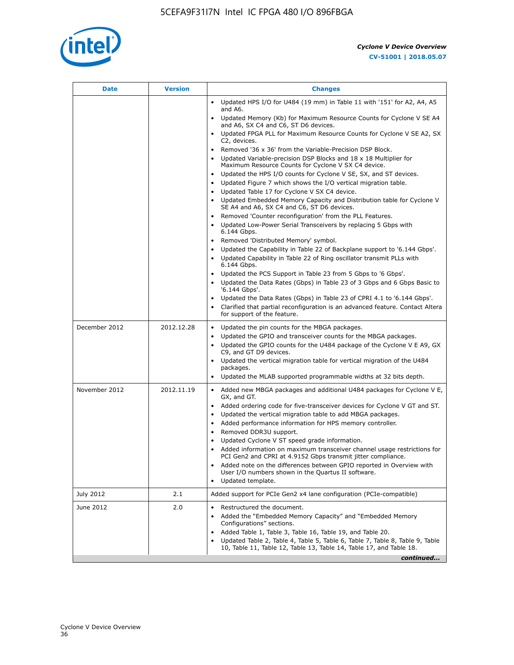

| Date          | <b>Version</b> | <b>Changes</b>                                                                                                                                      |
|---------------|----------------|-----------------------------------------------------------------------------------------------------------------------------------------------------|
|               |                | Updated HPS I/O for U484 (19 mm) in Table 11 with '151' for A2, A4, A5<br>and A6.                                                                   |
|               |                | Updated Memory (Kb) for Maximum Resource Counts for Cyclone V SE A4<br>and A6, SX C4 and C6, ST D6 devices.                                         |
|               |                | Updated FPGA PLL for Maximum Resource Counts for Cyclone V SE A2, SX<br>C2, devices.                                                                |
|               |                | Removed '36 x 36' from the Variable-Precision DSP Block.                                                                                            |
|               |                | Updated Variable-precision DSP Blocks and 18 x 18 Multiplier for<br>Maximum Resource Counts for Cyclone V SX C4 device.                             |
|               |                | Updated the HPS I/O counts for Cyclone V SE, SX, and ST devices.<br>$\bullet$                                                                       |
|               |                | Updated Figure 7 which shows the I/O vertical migration table.                                                                                      |
|               |                | Updated Table 17 for Cyclone V SX C4 device.<br>$\bullet$<br>Updated Embedded Memory Capacity and Distribution table for Cyclone V<br>$\bullet$     |
|               |                | SE A4 and A6, SX C4 and C6, ST D6 devices.                                                                                                          |
|               |                | Removed 'Counter reconfiguration' from the PLL Features.                                                                                            |
|               |                | Updated Low-Power Serial Transceivers by replacing 5 Gbps with<br>6.144 Gbps.                                                                       |
|               |                | Removed 'Distributed Memory' symbol.                                                                                                                |
|               |                | Updated the Capability in Table 22 of Backplane support to '6.144 Gbps'.                                                                            |
|               |                | Updated Capability in Table 22 of Ring oscillator transmit PLLs with<br>6.144 Gbps.                                                                 |
|               |                | Updated the PCS Support in Table 23 from 5 Gbps to '6 Gbps'.                                                                                        |
|               |                | Updated the Data Rates (Gbps) in Table 23 of 3 Gbps and 6 Gbps Basic to<br>$\bullet$<br>'6.144 Gbps'.                                               |
|               |                | Updated the Data Rates (Gbps) in Table 23 of CPRI 4.1 to '6.144 Gbps'.                                                                              |
|               |                | Clarified that partial reconfiguration is an advanced feature. Contact Altera<br>for support of the feature.                                        |
| December 2012 | 2012.12.28     | Updated the pin counts for the MBGA packages.<br>$\bullet$                                                                                          |
|               |                | Updated the GPIO and transceiver counts for the MBGA packages.<br>$\bullet$                                                                         |
|               |                | Updated the GPIO counts for the U484 package of the Cyclone V E A9, GX<br>C9, and GT D9 devices.                                                    |
|               |                | Updated the vertical migration table for vertical migration of the U484<br>packages.                                                                |
|               |                | Updated the MLAB supported programmable widths at 32 bits depth.                                                                                    |
| November 2012 | 2012.11.19     | • Added new MBGA packages and additional U484 packages for Cyclone V E,                                                                             |
|               |                | GX, and GT.<br>Added ordering code for five-transceiver devices for Cyclone V GT and ST.<br>٠                                                       |
|               |                | Updated the vertical migration table to add MBGA packages.<br>٠                                                                                     |
|               |                | Added performance information for HPS memory controller.<br>$\bullet$                                                                               |
|               |                | Removed DDR3U support.<br>$\bullet$                                                                                                                 |
|               |                | Updated Cyclone V ST speed grade information.                                                                                                       |
|               |                | Added information on maximum transceiver channel usage restrictions for<br>PCI Gen2 and CPRI at 4.9152 Gbps transmit jitter compliance.             |
|               |                | Added note on the differences between GPIO reported in Overview with                                                                                |
|               |                | User I/O numbers shown in the Quartus II software.                                                                                                  |
|               |                | Updated template.                                                                                                                                   |
| July 2012     | 2.1            | Added support for PCIe Gen2 x4 lane configuration (PCIe-compatible)                                                                                 |
| June 2012     | 2.0            | Restructured the document.                                                                                                                          |
|               |                | Added the "Embedded Memory Capacity" and "Embedded Memory<br>Configurations" sections.                                                              |
|               |                | Added Table 1, Table 3, Table 16, Table 19, and Table 20.                                                                                           |
|               |                | Updated Table 2, Table 4, Table 5, Table 6, Table 7, Table 8, Table 9, Table<br>10, Table 11, Table 12, Table 13, Table 14, Table 17, and Table 18. |
|               |                | continued                                                                                                                                           |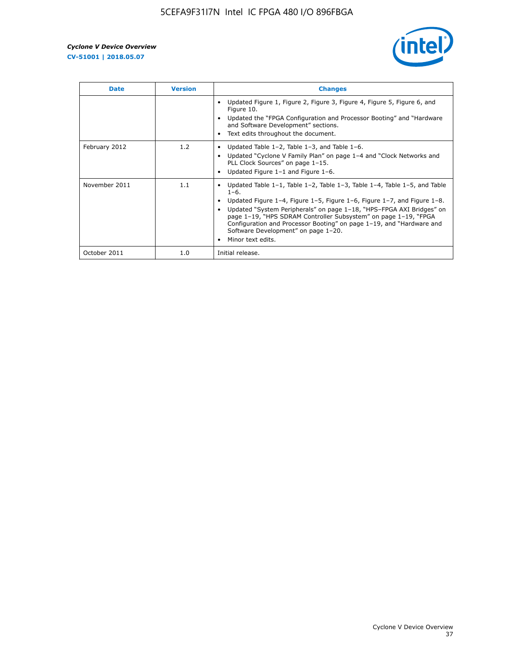

| <b>Date</b>   | <b>Version</b> | <b>Changes</b>                                                                                                                                                                                                                                                                                                                                                                                                                                                             |
|---------------|----------------|----------------------------------------------------------------------------------------------------------------------------------------------------------------------------------------------------------------------------------------------------------------------------------------------------------------------------------------------------------------------------------------------------------------------------------------------------------------------------|
|               |                | Updated Figure 1, Figure 2, Figure 3, Figure 4, Figure 5, Figure 6, and<br>Figure 10.<br>Updated the "FPGA Configuration and Processor Booting" and "Hardware<br>and Software Development" sections.<br>Text edits throughout the document.                                                                                                                                                                                                                                |
| February 2012 | 1.2            | Updated Table $1-2$ , Table $1-3$ , and Table $1-6$ .<br>Updated "Cyclone V Family Plan" on page 1-4 and "Clock Networks and<br>$\bullet$<br>PLL Clock Sources" on page 1-15.<br>Updated Figure 1-1 and Figure 1-6.                                                                                                                                                                                                                                                        |
| November 2011 | 1.1            | Updated Table $1-1$ , Table $1-2$ , Table $1-3$ , Table $1-4$ , Table $1-5$ , and Table<br>$1 - 6.$<br>Updated Figure 1-4, Figure 1-5, Figure 1-6, Figure 1-7, and Figure 1-8.<br>Updated "System Peripherals" on page 1-18, "HPS-FPGA AXI Bridges" on<br>page 1-19, "HPS SDRAM Controller Subsystem" on page 1-19, "FPGA<br>Configuration and Processor Booting" on page 1-19, and "Hardware and<br>Software Development" on page 1-20.<br>Minor text edits.<br>$\bullet$ |
| October 2011  | 1.0            | Initial release.                                                                                                                                                                                                                                                                                                                                                                                                                                                           |